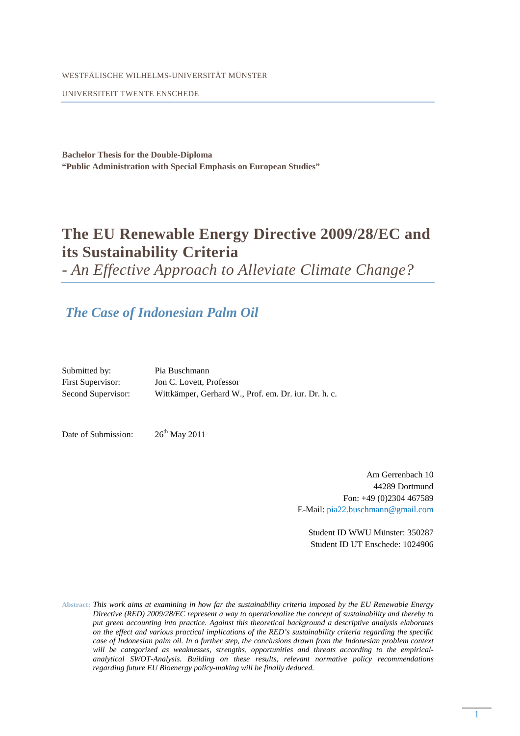WESTFÄLISCHE WILHELMS-UNIVERSITÄT MÜNSTER

UNIVERSITEIT TWENTE ENSCHEDE

**Bachelor Thesis for the Double-Diploma "Public Administration with Special Emphasis on European Studies"** 

## **The EU Renewable Energy Directive 2009/28/EC and its Sustainability Criteria**

*- An Effective Approach to Alleviate Climate Change?*

## *The Case of Indonesian Palm Oil*

| Submitted by:            | Pia Buschmann                                        |
|--------------------------|------------------------------------------------------|
| <b>First Supervisor:</b> | Jon C. Lovett, Professor                             |
| Second Supervisor:       | Wittkämper, Gerhard W., Prof. em. Dr. iur. Dr. h. c. |

Date of Submission:  $26<sup>th</sup>$  May 2011

Am Gerrenbach 10 44289 Dortmund Fon: +49 (0)2304 467589 E-Mail: pia22.buschmann@gmail.com

Student ID WWU Münster: 350287 Student ID UT Enschede: 1024906

**Abstract:** *This work aims at examining in how far the sustainability criteria imposed by the EU Renewable Energy Directive (RED) 2009/28/EC represent a way to operationalize the concept of sustainability and thereby to put green accounting into practice. Against this theoretical background a descriptive analysis elaborates on the effect and various practical implications of the RED's sustainability criteria regarding the specific case of Indonesian palm oil. In a further step, the conclusions drawn from the Indonesian problem context will be categorized as weaknesses, strengths, opportunities and threats according to the empiricalanalytical SWOT-Analysis. Building on these results, relevant normative policy recommendations regarding future EU Bioenergy policy-making will be finally deduced.*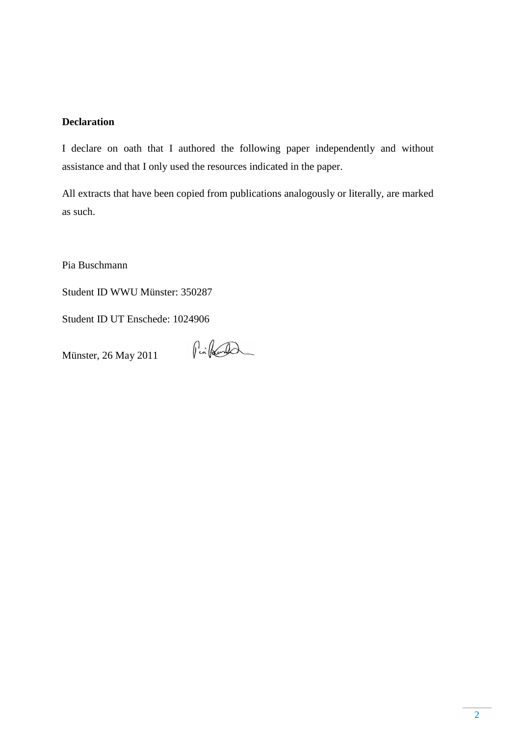## **Declaration**

I declare on oath that I authored the following paper independently and without assistance and that I only used the resources indicated in the paper.

All extracts that have been copied from publications analogously or literally, are marked as such.

Pia Buschmann

Student ID WWU Münster: 350287

Student ID UT Enschede: 1024906

Münster, 26 May 2011

Pinkert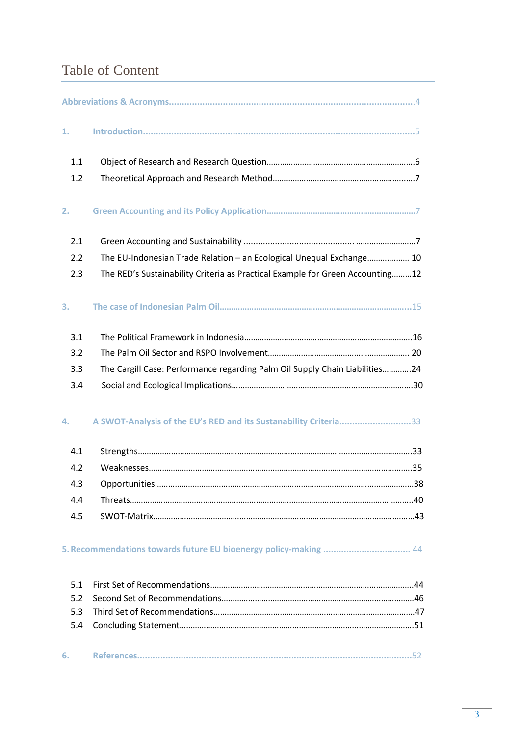# Table of Content

| 1.                       |                                                                               |
|--------------------------|-------------------------------------------------------------------------------|
| 1.1                      |                                                                               |
| 1.2                      |                                                                               |
| 2.                       |                                                                               |
| 2.1                      |                                                                               |
| 2.2                      | The EU-Indonesian Trade Relation - an Ecological Unequal Exchange 10          |
| 2.3                      | The RED's Sustainability Criteria as Practical Example for Green Accounting12 |
| 3.                       |                                                                               |
| 3.1                      |                                                                               |
| 3.2                      |                                                                               |
| 3.3                      | The Cargill Case: Performance regarding Palm Oil Supply Chain Liabilities24   |
| 3.4                      |                                                                               |
| 4.                       | A SWOT-Analysis of the EU's RED and its Sustanability Criteria33              |
| 4.1                      |                                                                               |
| 4.2                      |                                                                               |
| 4.3                      |                                                                               |
| 4.4                      |                                                                               |
| 4.5                      |                                                                               |
|                          | 5. Recommendations towards future EU bioenergy policy-making  44              |
| 5.1<br>5.2<br>5.3<br>5.4 |                                                                               |
| 6.                       |                                                                               |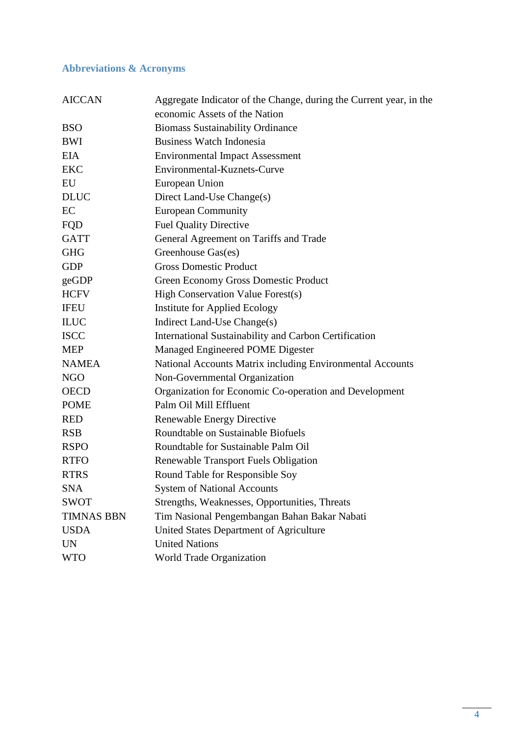## **Abbreviations & Acronyms**

| <b>AICCAN</b>     | Aggregate Indicator of the Change, during the Current year, in the |
|-------------------|--------------------------------------------------------------------|
|                   | economic Assets of the Nation                                      |
| <b>BSO</b>        | <b>Biomass Sustainability Ordinance</b>                            |
| BWI               | <b>Business Watch Indonesia</b>                                    |
| <b>EIA</b>        | <b>Environmental Impact Assessment</b>                             |
| <b>EKC</b>        | Environmental-Kuznets-Curve                                        |
| EU                | European Union                                                     |
| <b>DLUC</b>       | Direct Land-Use Change(s)                                          |
| EC                | <b>European Community</b>                                          |
| FQD               | <b>Fuel Quality Directive</b>                                      |
| <b>GATT</b>       | General Agreement on Tariffs and Trade                             |
| <b>GHG</b>        | Greenhouse Gas(es)                                                 |
| <b>GDP</b>        | <b>Gross Domestic Product</b>                                      |
| geGDP             | Green Economy Gross Domestic Product                               |
| <b>HCFV</b>       | High Conservation Value Forest(s)                                  |
| <b>IFEU</b>       | <b>Institute for Applied Ecology</b>                               |
| <b>ILUC</b>       | Indirect Land-Use Change(s)                                        |
| <b>ISCC</b>       | International Sustainability and Carbon Certification              |
| <b>MEP</b>        | Managed Engineered POME Digester                                   |
| <b>NAMEA</b>      | National Accounts Matrix including Environmental Accounts          |
| <b>NGO</b>        | Non-Governmental Organization                                      |
| <b>OECD</b>       | Organization for Economic Co-operation and Development             |
| <b>POME</b>       | Palm Oil Mill Effluent                                             |
| <b>RED</b>        | Renewable Energy Directive                                         |
| <b>RSB</b>        | Roundtable on Sustainable Biofuels                                 |
| <b>RSPO</b>       | Roundtable for Sustainable Palm Oil                                |
| <b>RTFO</b>       | <b>Renewable Transport Fuels Obligation</b>                        |
| <b>RTRS</b>       | Round Table for Responsible Soy                                    |
| <b>SNA</b>        | <b>System of National Accounts</b>                                 |
| <b>SWOT</b>       | Strengths, Weaknesses, Opportunities, Threats                      |
| <b>TIMNAS BBN</b> | Tim Nasional Pengembangan Bahan Bakar Nabati                       |
| <b>USDA</b>       | United States Department of Agriculture                            |
| <b>UN</b>         | <b>United Nations</b>                                              |
| <b>WTO</b>        | World Trade Organization                                           |
|                   |                                                                    |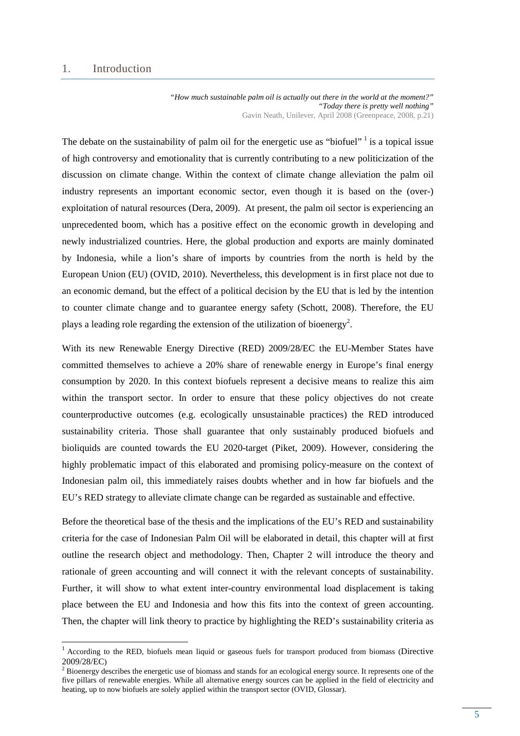#### 1. Introduction

 $\overline{a}$ 

*"How much sustainable palm oil is actually out there in the world at the moment?" "Today there is pretty well nothing"*  Gavin Neath, Unilever, April 2008 (Greenpeace, 2008, p.21)

The debate on the sustainability of palm oil for the energetic use as "biofuel"<sup>1</sup> is a topical issue of high controversy and emotionality that is currently contributing to a new politicization of the discussion on climate change. Within the context of climate change alleviation the palm oil industry represents an important economic sector, even though it is based on the (over-) exploitation of natural resources (Dera, 2009). At present, the palm oil sector is experiencing an unprecedented boom, which has a positive effect on the economic growth in developing and newly industrialized countries. Here, the global production and exports are mainly dominated by Indonesia, while a lion's share of imports by countries from the north is held by the European Union (EU) (OVID, 2010). Nevertheless, this development is in first place not due to an economic demand, but the effect of a political decision by the EU that is led by the intention to counter climate change and to guarantee energy safety (Schott, 2008). Therefore, the EU plays a leading role regarding the extension of the utilization of bioenergy<sup>2</sup>.

With its new Renewable Energy Directive (RED) 2009/28/EC the EU-Member States have committed themselves to achieve a 20% share of renewable energy in Europe's final energy consumption by 2020. In this context biofuels represent a decisive means to realize this aim within the transport sector. In order to ensure that these policy objectives do not create counterproductive outcomes (e.g. ecologically unsustainable practices) the RED introduced sustainability criteria. Those shall guarantee that only sustainably produced biofuels and bioliquids are counted towards the EU 2020-target (Piket, 2009). However, considering the highly problematic impact of this elaborated and promising policy-measure on the context of Indonesian palm oil, this immediately raises doubts whether and in how far biofuels and the EU's RED strategy to alleviate climate change can be regarded as sustainable and effective.

Before the theoretical base of the thesis and the implications of the EU's RED and sustainability criteria for the case of Indonesian Palm Oil will be elaborated in detail, this chapter will at first outline the research object and methodology. Then, Chapter 2 will introduce the theory and rationale of green accounting and will connect it with the relevant concepts of sustainability. Further, it will show to what extent inter-country environmental load displacement is taking place between the EU and Indonesia and how this fits into the context of green accounting. Then, the chapter will link theory to practice by highlighting the RED's sustainability criteria as

<sup>&</sup>lt;sup>1</sup> According to the RED, biofuels mean liquid or gaseous fuels for transport produced from biomass (Directive 2009/28/EC)

<sup>&</sup>lt;sup>2</sup> Bioenergy describes the energetic use of biomass and stands for an ecological energy source. It represents one of the five pillars of renewable energies. While all alternative energy sources can be applied in the field of electricity and heating, up to now biofuels are solely applied within the transport sector (OVID, Glossar).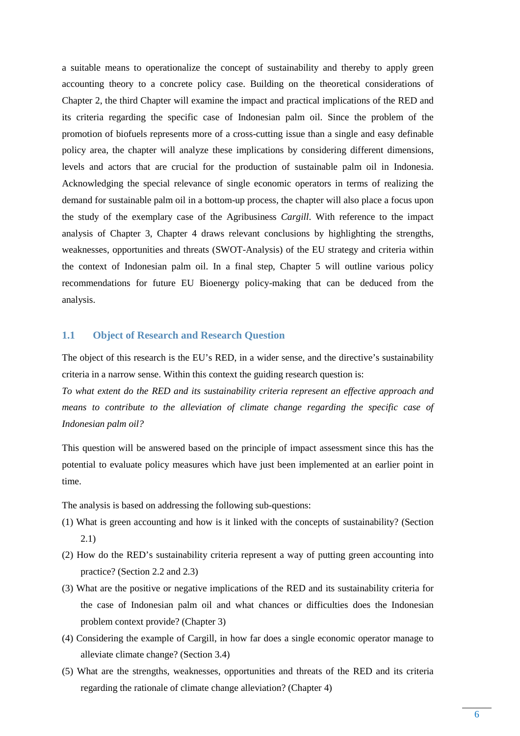a suitable means to operationalize the concept of sustainability and thereby to apply green accounting theory to a concrete policy case. Building on the theoretical considerations of Chapter 2, the third Chapter will examine the impact and practical implications of the RED and its criteria regarding the specific case of Indonesian palm oil. Since the problem of the promotion of biofuels represents more of a cross-cutting issue than a single and easy definable policy area, the chapter will analyze these implications by considering different dimensions, levels and actors that are crucial for the production of sustainable palm oil in Indonesia. Acknowledging the special relevance of single economic operators in terms of realizing the demand for sustainable palm oil in a bottom-up process, the chapter will also place a focus upon the study of the exemplary case of the Agribusiness *Cargill*. With reference to the impact analysis of Chapter 3, Chapter 4 draws relevant conclusions by highlighting the strengths, weaknesses, opportunities and threats (SWOT-Analysis) of the EU strategy and criteria within the context of Indonesian palm oil. In a final step, Chapter 5 will outline various policy recommendations for future EU Bioenergy policy-making that can be deduced from the analysis.

## **1.1 Object of Research and Research Question**

The object of this research is the EU's RED, in a wider sense, and the directive's sustainability criteria in a narrow sense. Within this context the guiding research question is:

*To what extent do the RED and its sustainability criteria represent an effective approach and means to contribute to the alleviation of climate change regarding the specific case of Indonesian palm oil?* 

This question will be answered based on the principle of impact assessment since this has the potential to evaluate policy measures which have just been implemented at an earlier point in time.

The analysis is based on addressing the following sub-questions:

- (1) What is green accounting and how is it linked with the concepts of sustainability? (Section 2.1)
- (2) How do the RED's sustainability criteria represent a way of putting green accounting into practice? (Section 2.2 and 2.3)
- (3) What are the positive or negative implications of the RED and its sustainability criteria for the case of Indonesian palm oil and what chances or difficulties does the Indonesian problem context provide? (Chapter 3)
- (4) Considering the example of Cargill, in how far does a single economic operator manage to alleviate climate change? (Section 3.4)
- (5) What are the strengths, weaknesses, opportunities and threats of the RED and its criteria regarding the rationale of climate change alleviation? (Chapter 4)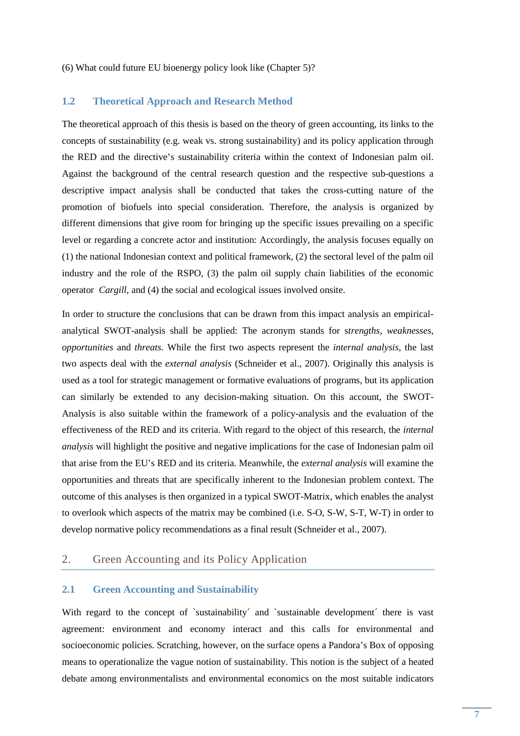(6) What could future EU bioenergy policy look like (Chapter 5)?

### **1.2 Theoretical Approach and Research Method**

The theoretical approach of this thesis is based on the theory of green accounting, its links to the concepts of sustainability (e.g. weak vs. strong sustainability) and its policy application through the RED and the directive's sustainability criteria within the context of Indonesian palm oil. Against the background of the central research question and the respective sub-questions a descriptive impact analysis shall be conducted that takes the cross-cutting nature of the promotion of biofuels into special consideration. Therefore, the analysis is organized by different dimensions that give room for bringing up the specific issues prevailing on a specific level or regarding a concrete actor and institution: Accordingly, the analysis focuses equally on (1) the national Indonesian context and political framework, (2) the sectoral level of the palm oil industry and the role of the RSPO, (3) the palm oil supply chain liabilities of the economic operator *Cargill*, and (4) the social and ecological issues involved onsite.

In order to structure the conclusions that can be drawn from this impact analysis an empiricalanalytical SWOT-analysis shall be applied: The acronym stands for s*trengths, weaknesses, opportunities* and *threats.* While the first two aspects represent the *internal analysis*, the last two aspects deal with the *external analysis* (Schneider et al., 2007). Originally this analysis is used as a tool for strategic management or formative evaluations of programs, but its application can similarly be extended to any decision-making situation. On this account, the SWOT-Analysis is also suitable within the framework of a policy-analysis and the evaluation of the effectiveness of the RED and its criteria. With regard to the object of this research, the *internal analysis* will highlight the positive and negative implications for the case of Indonesian palm oil that arise from the EU's RED and its criteria. Meanwhile, the *external analysis* will examine the opportunities and threats that are specifically inherent to the Indonesian problem context. The outcome of this analyses is then organized in a typical SWOT-Matrix, which enables the analyst to overlook which aspects of the matrix may be combined (i.e. S-O, S-W, S-T, W-T) in order to develop normative policy recommendations as a final result (Schneider et al., 2007).

## 2. Green Accounting and its Policy Application

#### **2.1 Green Accounting and Sustainability**

With regard to the concept of `sustainability´ and `sustainable development´ there is vast agreement: environment and economy interact and this calls for environmental and socioeconomic policies. Scratching, however, on the surface opens a Pandora's Box of opposing means to operationalize the vague notion of sustainability. This notion is the subject of a heated debate among environmentalists and environmental economics on the most suitable indicators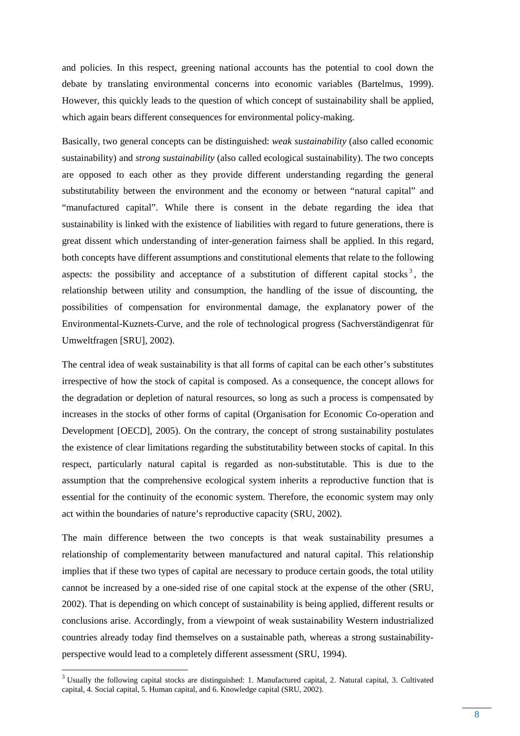and policies. In this respect, greening national accounts has the potential to cool down the debate by translating environmental concerns into economic variables (Bartelmus, 1999). However, this quickly leads to the question of which concept of sustainability shall be applied, which again bears different consequences for environmental policy-making.

Basically, two general concepts can be distinguished: *weak sustainability* (also called economic sustainability) and *strong sustainability* (also called ecological sustainability). The two concepts are opposed to each other as they provide different understanding regarding the general substitutability between the environment and the economy or between "natural capital" and "manufactured capital". While there is consent in the debate regarding the idea that sustainability is linked with the existence of liabilities with regard to future generations, there is great dissent which understanding of inter-generation fairness shall be applied. In this regard, both concepts have different assumptions and constitutional elements that relate to the following aspects: the possibility and acceptance of a substitution of different capital stocks<sup>3</sup>, the relationship between utility and consumption, the handling of the issue of discounting, the possibilities of compensation for environmental damage, the explanatory power of the Environmental-Kuznets-Curve, and the role of technological progress (Sachverständigenrat für Umweltfragen [SRU], 2002).

The central idea of weak sustainability is that all forms of capital can be each other's substitutes irrespective of how the stock of capital is composed. As a consequence, the concept allows for the degradation or depletion of natural resources, so long as such a process is compensated by increases in the stocks of other forms of capital (Organisation for Economic Co-operation and Development [OECD], 2005). On the contrary, the concept of strong sustainability postulates the existence of clear limitations regarding the substitutability between stocks of capital. In this respect, particularly natural capital is regarded as non-substitutable. This is due to the assumption that the comprehensive ecological system inherits a reproductive function that is essential for the continuity of the economic system. Therefore, the economic system may only act within the boundaries of nature's reproductive capacity (SRU, 2002).

The main difference between the two concepts is that weak sustainability presumes a relationship of complementarity between manufactured and natural capital. This relationship implies that if these two types of capital are necessary to produce certain goods, the total utility cannot be increased by a one-sided rise of one capital stock at the expense of the other (SRU, 2002). That is depending on which concept of sustainability is being applied, different results or conclusions arise. Accordingly, from a viewpoint of weak sustainability Western industrialized countries already today find themselves on a sustainable path, whereas a strong sustainabilityperspective would lead to a completely different assessment (SRU, 1994).

<sup>&</sup>lt;sup>3</sup> Usually the following capital stocks are distinguished: 1. Manufactured capital, 2. Natural capital, 3. Cultivated capital, 4. Social capital, 5. Human capital, and 6. Knowledge capital (SRU, 2002).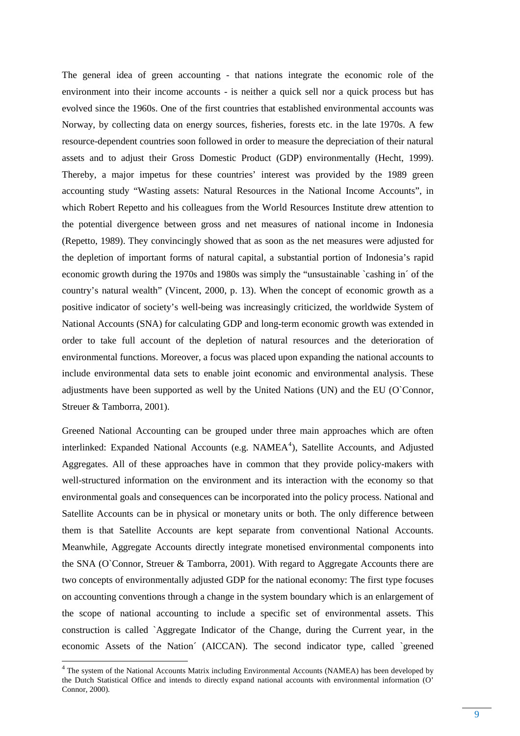The general idea of green accounting - that nations integrate the economic role of the environment into their income accounts - is neither a quick sell nor a quick process but has evolved since the 1960s. One of the first countries that established environmental accounts was Norway, by collecting data on energy sources, fisheries, forests etc. in the late 1970s. A few resource-dependent countries soon followed in order to measure the depreciation of their natural assets and to adjust their Gross Domestic Product (GDP) environmentally (Hecht, 1999). Thereby, a major impetus for these countries' interest was provided by the 1989 green accounting study "Wasting assets: Natural Resources in the National Income Accounts", in which Robert Repetto and his colleagues from the World Resources Institute drew attention to the potential divergence between gross and net measures of national income in Indonesia (Repetto, 1989). They convincingly showed that as soon as the net measures were adjusted for the depletion of important forms of natural capital, a substantial portion of Indonesia's rapid economic growth during the 1970s and 1980s was simply the "unsustainable `cashing in´ of the country's natural wealth" (Vincent, 2000, p. 13). When the concept of economic growth as a positive indicator of society's well-being was increasingly criticized, the worldwide System of National Accounts (SNA) for calculating GDP and long-term economic growth was extended in order to take full account of the depletion of natural resources and the deterioration of environmental functions. Moreover, a focus was placed upon expanding the national accounts to include environmental data sets to enable joint economic and environmental analysis. These adjustments have been supported as well by the United Nations (UN) and the EU (O`Connor, Streuer & Tamborra, 2001).

Greened National Accounting can be grouped under three main approaches which are often interlinked: Expanded National Accounts (e.g. NAMEA<sup>4</sup>), Satellite Accounts, and Adjusted Aggregates. All of these approaches have in common that they provide policy-makers with well-structured information on the environment and its interaction with the economy so that environmental goals and consequences can be incorporated into the policy process. National and Satellite Accounts can be in physical or monetary units or both. The only difference between them is that Satellite Accounts are kept separate from conventional National Accounts. Meanwhile, Aggregate Accounts directly integrate monetised environmental components into the SNA (O`Connor, Streuer & Tamborra, 2001). With regard to Aggregate Accounts there are two concepts of environmentally adjusted GDP for the national economy: The first type focuses on accounting conventions through a change in the system boundary which is an enlargement of the scope of national accounting to include a specific set of environmental assets. This construction is called `Aggregate Indicator of the Change, during the Current year, in the economic Assets of the Nation´ (AICCAN). The second indicator type, called `greened

<sup>&</sup>lt;sup>4</sup> The system of the National Accounts Matrix including Environmental Accounts (NAMEA) has been developed by the Dutch Statistical Office and intends to directly expand national accounts with environmental information (O' Connor, 2000).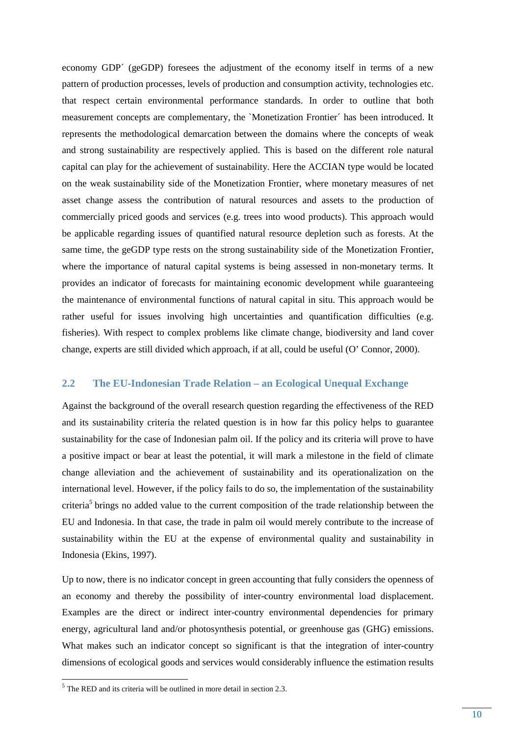economy GDP´ (geGDP) foresees the adjustment of the economy itself in terms of a new pattern of production processes, levels of production and consumption activity, technologies etc. that respect certain environmental performance standards. In order to outline that both measurement concepts are complementary, the `Monetization Frontier´ has been introduced. It represents the methodological demarcation between the domains where the concepts of weak and strong sustainability are respectively applied. This is based on the different role natural capital can play for the achievement of sustainability. Here the ACCIAN type would be located on the weak sustainability side of the Monetization Frontier, where monetary measures of net asset change assess the contribution of natural resources and assets to the production of commercially priced goods and services (e.g. trees into wood products). This approach would be applicable regarding issues of quantified natural resource depletion such as forests. At the same time, the geGDP type rests on the strong sustainability side of the Monetization Frontier, where the importance of natural capital systems is being assessed in non-monetary terms. It provides an indicator of forecasts for maintaining economic development while guaranteeing the maintenance of environmental functions of natural capital in situ. This approach would be rather useful for issues involving high uncertainties and quantification difficulties (e.g. fisheries). With respect to complex problems like climate change, biodiversity and land cover change, experts are still divided which approach, if at all, could be useful (O' Connor, 2000).

#### **2.2 The EU-Indonesian Trade Relation – an Ecological Unequal Exchange**

Against the background of the overall research question regarding the effectiveness of the RED and its sustainability criteria the related question is in how far this policy helps to guarantee sustainability for the case of Indonesian palm oil. If the policy and its criteria will prove to have a positive impact or bear at least the potential, it will mark a milestone in the field of climate change alleviation and the achievement of sustainability and its operationalization on the international level. However, if the policy fails to do so, the implementation of the sustainability criteria<sup>5</sup> brings no added value to the current composition of the trade relationship between the EU and Indonesia. In that case, the trade in palm oil would merely contribute to the increase of sustainability within the EU at the expense of environmental quality and sustainability in Indonesia (Ekins, 1997).

Up to now, there is no indicator concept in green accounting that fully considers the openness of an economy and thereby the possibility of inter-country environmental load displacement. Examples are the direct or indirect inter-country environmental dependencies for primary energy, agricultural land and/or photosynthesis potential, or greenhouse gas (GHG) emissions. What makes such an indicator concept so significant is that the integration of inter-country dimensions of ecological goods and services would considerably influence the estimation results

<sup>&</sup>lt;sup>5</sup> The RED and its criteria will be outlined in more detail in section 2.3.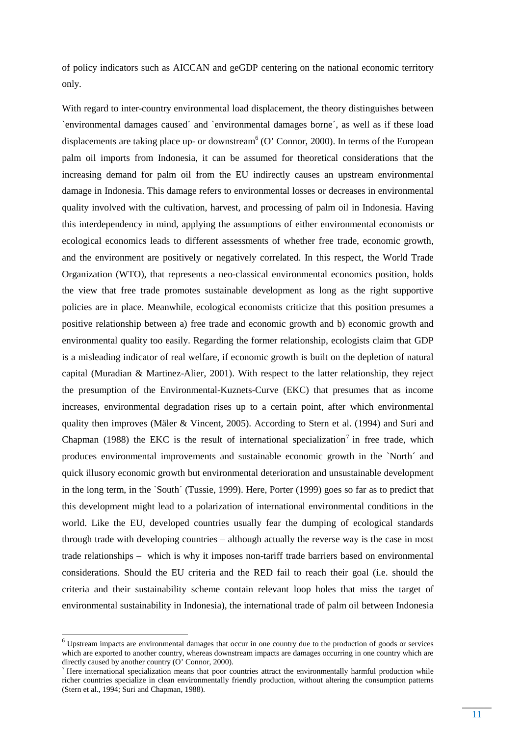of policy indicators such as AICCAN and geGDP centering on the national economic territory only.

With regard to inter-country environmental load displacement, the theory distinguishes between `environmental damages caused´ and `environmental damages borne´, as well as if these load displacements are taking place up- or downstream<sup>6</sup> (O' Connor, 2000). In terms of the European palm oil imports from Indonesia, it can be assumed for theoretical considerations that the increasing demand for palm oil from the EU indirectly causes an upstream environmental damage in Indonesia. This damage refers to environmental losses or decreases in environmental quality involved with the cultivation, harvest, and processing of palm oil in Indonesia. Having this interdependency in mind, applying the assumptions of either environmental economists or ecological economics leads to different assessments of whether free trade, economic growth, and the environment are positively or negatively correlated. In this respect, the World Trade Organization (WTO), that represents a neo-classical environmental economics position, holds the view that free trade promotes sustainable development as long as the right supportive policies are in place. Meanwhile, ecological economists criticize that this position presumes a positive relationship between a) free trade and economic growth and b) economic growth and environmental quality too easily. Regarding the former relationship, ecologists claim that GDP is a misleading indicator of real welfare, if economic growth is built on the depletion of natural capital (Muradian & Martinez-Alier, 2001). With respect to the latter relationship, they reject the presumption of the Environmental-Kuznets-Curve (EKC) that presumes that as income increases, environmental degradation rises up to a certain point, after which environmental quality then improves (Mäler & Vincent, 2005). According to Stern et al. (1994) and Suri and Chapman (1988) the EKC is the result of international specialization<sup>7</sup> in free trade, which produces environmental improvements and sustainable economic growth in the `North´ and quick illusory economic growth but environmental deterioration and unsustainable development in the long term, in the `South´ (Tussie, 1999). Here, Porter (1999) goes so far as to predict that this development might lead to a polarization of international environmental conditions in the world. Like the EU, developed countries usually fear the dumping of ecological standards through trade with developing countries – although actually the reverse way is the case in most trade relationships – which is why it imposes non-tariff trade barriers based on environmental considerations. Should the EU criteria and the RED fail to reach their goal (i.e. should the criteria and their sustainability scheme contain relevant loop holes that miss the target of environmental sustainability in Indonesia), the international trade of palm oil between Indonesia

<sup>6</sup> Upstream impacts are environmental damages that occur in one country due to the production of goods or services which are exported to another country, whereas downstream impacts are damages occurring in one country which are directly caused by another country (O' Connor, 2000).

 $<sup>7</sup>$  Here international specialization means that poor countries attract the environmentally harmful production while</sup> richer countries specialize in clean environmentally friendly production, without altering the consumption patterns (Stern et al., 1994; Suri and Chapman, 1988).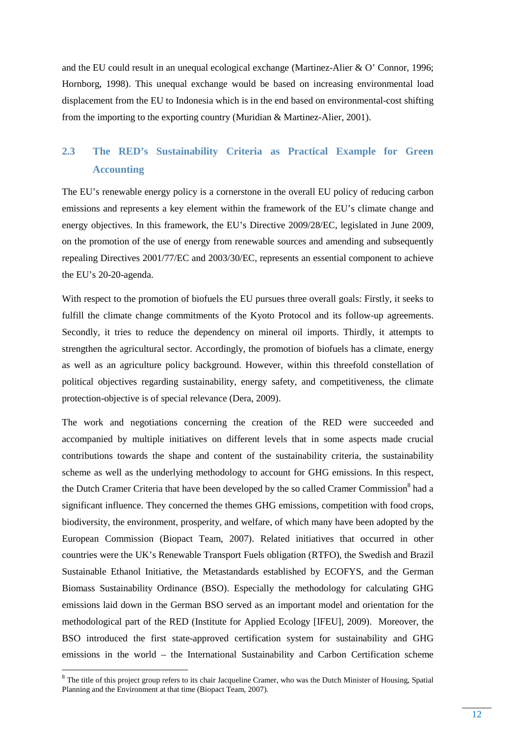and the EU could result in an unequal ecological exchange (Martinez-Alier & O' Connor, 1996; Hornborg, 1998). This unequal exchange would be based on increasing environmental load displacement from the EU to Indonesia which is in the end based on environmental-cost shifting from the importing to the exporting country (Muridian & Martinez-Alier, 2001).

## **2.3 The RED's Sustainability Criteria as Practical Example for Green Accounting**

The EU's renewable energy policy is a cornerstone in the overall EU policy of reducing carbon emissions and represents a key element within the framework of the EU's climate change and energy objectives. In this framework, the EU's Directive 2009/28/EC, legislated in June 2009, on the promotion of the use of energy from renewable sources and amending and subsequently repealing Directives 2001/77/EC and 2003/30/EC, represents an essential component to achieve the EU's 20-20-agenda.

With respect to the promotion of biofuels the EU pursues three overall goals: Firstly, it seeks to fulfill the climate change commitments of the Kyoto Protocol and its follow-up agreements. Secondly, it tries to reduce the dependency on mineral oil imports. Thirdly, it attempts to strengthen the agricultural sector. Accordingly, the promotion of biofuels has a climate, energy as well as an agriculture policy background. However, within this threefold constellation of political objectives regarding sustainability, energy safety, and competitiveness, the climate protection-objective is of special relevance (Dera, 2009).

The work and negotiations concerning the creation of the RED were succeeded and accompanied by multiple initiatives on different levels that in some aspects made crucial contributions towards the shape and content of the sustainability criteria, the sustainability scheme as well as the underlying methodology to account for GHG emissions. In this respect, the Dutch Cramer Criteria that have been developed by the so called Cramer Commission<sup>8</sup> had a significant influence. They concerned the themes GHG emissions, competition with food crops, biodiversity, the environment, prosperity, and welfare, of which many have been adopted by the European Commission (Biopact Team, 2007). Related initiatives that occurred in other countries were the UK's Renewable Transport Fuels obligation (RTFO), the Swedish and Brazil Sustainable Ethanol Initiative, the Metastandards established by ECOFYS, and the German Biomass Sustainability Ordinance (BSO). Especially the methodology for calculating GHG emissions laid down in the German BSO served as an important model and orientation for the methodological part of the RED (Institute for Applied Ecology [IFEU], 2009). Moreover, the BSO introduced the first state-approved certification system for sustainability and GHG emissions in the world – the International Sustainability and Carbon Certification scheme

<sup>&</sup>lt;sup>8</sup> The title of this project group refers to its chair Jacqueline Cramer, who was the Dutch Minister of Housing, Spatial Planning and the Environment at that time (Biopact Team, 2007).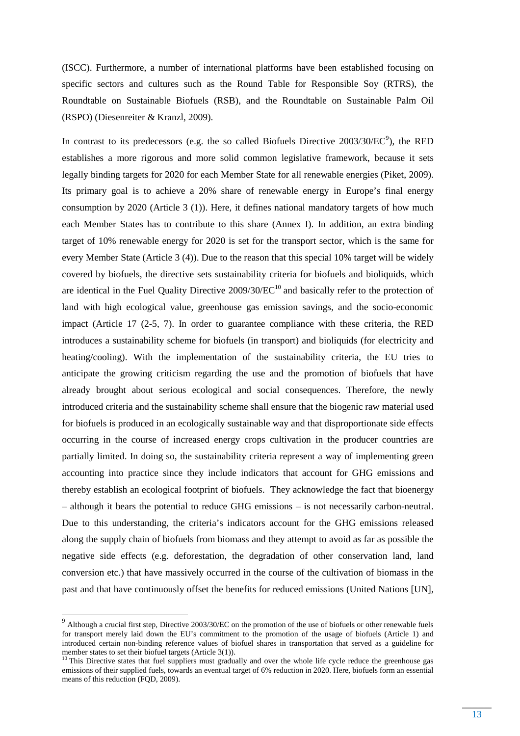(ISCC). Furthermore, a number of international platforms have been established focusing on specific sectors and cultures such as the Round Table for Responsible Soy (RTRS), the Roundtable on Sustainable Biofuels (RSB), and the Roundtable on Sustainable Palm Oil (RSPO) (Diesenreiter & Kranzl, 2009).

In contrast to its predecessors (e.g. the so called Biofuels Directive  $2003/30/EC^9$ ), the RED establishes a more rigorous and more solid common legislative framework, because it sets legally binding targets for 2020 for each Member State for all renewable energies (Piket, 2009). Its primary goal is to achieve a 20% share of renewable energy in Europe's final energy consumption by 2020 (Article 3 (1)). Here, it defines national mandatory targets of how much each Member States has to contribute to this share (Annex I). In addition, an extra binding target of 10% renewable energy for 2020 is set for the transport sector, which is the same for every Member State (Article 3 (4)). Due to the reason that this special 10% target will be widely covered by biofuels, the directive sets sustainability criteria for biofuels and bioliquids, which are identical in the Fuel Quality Directive  $2009/30/EC^{10}$  and basically refer to the protection of land with high ecological value, greenhouse gas emission savings, and the socio-economic impact (Article 17 (2-5, 7). In order to guarantee compliance with these criteria, the RED introduces a sustainability scheme for biofuels (in transport) and bioliquids (for electricity and heating/cooling). With the implementation of the sustainability criteria, the EU tries to anticipate the growing criticism regarding the use and the promotion of biofuels that have already brought about serious ecological and social consequences. Therefore, the newly introduced criteria and the sustainability scheme shall ensure that the biogenic raw material used for biofuels is produced in an ecologically sustainable way and that disproportionate side effects occurring in the course of increased energy crops cultivation in the producer countries are partially limited. In doing so, the sustainability criteria represent a way of implementing green accounting into practice since they include indicators that account for GHG emissions and thereby establish an ecological footprint of biofuels. They acknowledge the fact that bioenergy – although it bears the potential to reduce GHG emissions – is not necessarily carbon-neutral. Due to this understanding, the criteria's indicators account for the GHG emissions released along the supply chain of biofuels from biomass and they attempt to avoid as far as possible the negative side effects (e.g. deforestation, the degradation of other conservation land, land conversion etc.) that have massively occurred in the course of the cultivation of biomass in the past and that have continuously offset the benefits for reduced emissions (United Nations [UN],

 $9$  Although a crucial first step, Directive 2003/30/EC on the promotion of the use of biofuels or other renewable fuels for transport merely laid down the EU's commitment to the promotion of the usage of biofuels (Article 1) and introduced certain non-binding reference values of biofuel shares in transportation that served as a guideline for member states to set their biofuel targets (Article 3(1)).

<sup>&</sup>lt;sup>10</sup> This Directive states that fuel suppliers must gradually and over the whole life cycle reduce the greenhouse gas emissions of their supplied fuels, towards an eventual target of 6% reduction in 2020. Here, biofuels form an essential means of this reduction (FQD, 2009).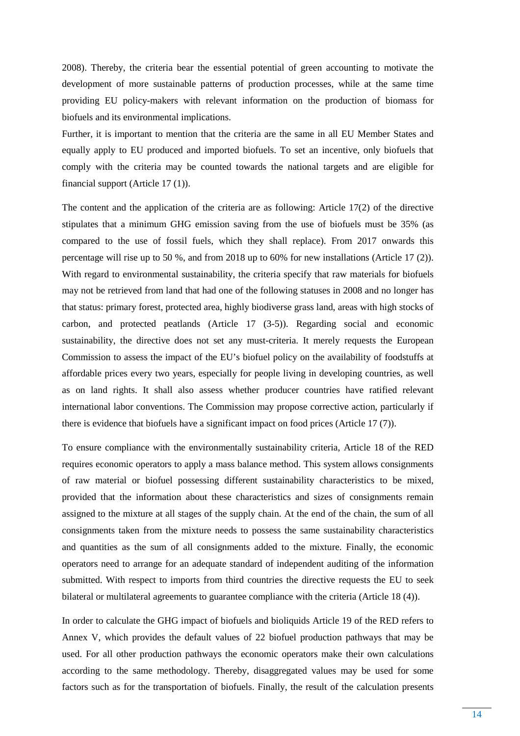2008). Thereby, the criteria bear the essential potential of green accounting to motivate the development of more sustainable patterns of production processes, while at the same time providing EU policy-makers with relevant information on the production of biomass for biofuels and its environmental implications.

Further, it is important to mention that the criteria are the same in all EU Member States and equally apply to EU produced and imported biofuels. To set an incentive, only biofuels that comply with the criteria may be counted towards the national targets and are eligible for financial support (Article 17 (1)).

The content and the application of the criteria are as following: Article 17(2) of the directive stipulates that a minimum GHG emission saving from the use of biofuels must be 35% (as compared to the use of fossil fuels, which they shall replace). From 2017 onwards this percentage will rise up to 50 %, and from 2018 up to 60% for new installations (Article 17 (2)). With regard to environmental sustainability, the criteria specify that raw materials for biofuels may not be retrieved from land that had one of the following statuses in 2008 and no longer has that status: primary forest, protected area, highly biodiverse grass land, areas with high stocks of carbon, and protected peatlands (Article 17 (3-5)). Regarding social and economic sustainability, the directive does not set any must-criteria. It merely requests the European Commission to assess the impact of the EU's biofuel policy on the availability of foodstuffs at affordable prices every two years, especially for people living in developing countries, as well as on land rights. It shall also assess whether producer countries have ratified relevant international labor conventions. The Commission may propose corrective action, particularly if there is evidence that biofuels have a significant impact on food prices (Article 17 (7)).

To ensure compliance with the environmentally sustainability criteria, Article 18 of the RED requires economic operators to apply a mass balance method. This system allows consignments of raw material or biofuel possessing different sustainability characteristics to be mixed, provided that the information about these characteristics and sizes of consignments remain assigned to the mixture at all stages of the supply chain. At the end of the chain, the sum of all consignments taken from the mixture needs to possess the same sustainability characteristics and quantities as the sum of all consignments added to the mixture. Finally, the economic operators need to arrange for an adequate standard of independent auditing of the information submitted. With respect to imports from third countries the directive requests the EU to seek bilateral or multilateral agreements to guarantee compliance with the criteria (Article 18 (4)).

In order to calculate the GHG impact of biofuels and bioliquids Article 19 of the RED refers to Annex V, which provides the default values of 22 biofuel production pathways that may be used. For all other production pathways the economic operators make their own calculations according to the same methodology. Thereby, disaggregated values may be used for some factors such as for the transportation of biofuels. Finally, the result of the calculation presents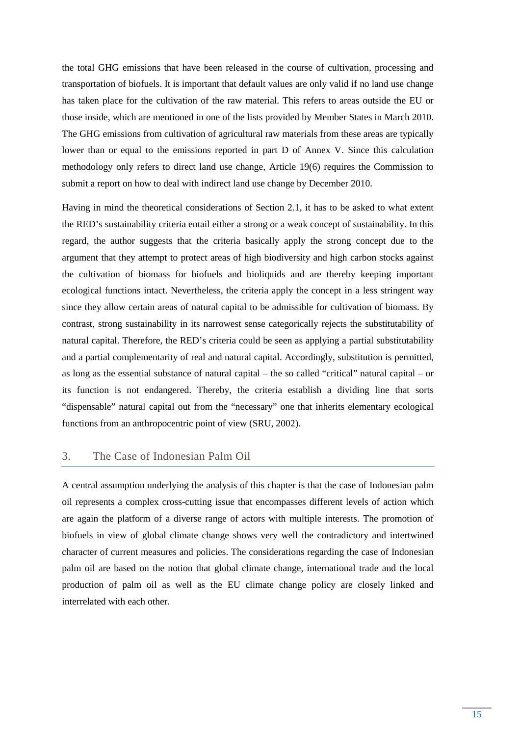the total GHG emissions that have been released in the course of cultivation, processing and transportation of biofuels. It is important that default values are only valid if no land use change has taken place for the cultivation of the raw material. This refers to areas outside the EU or those inside, which are mentioned in one of the lists provided by Member States in March 2010. The GHG emissions from cultivation of agricultural raw materials from these areas are typically lower than or equal to the emissions reported in part D of Annex V. Since this calculation methodology only refers to direct land use change, Article 19(6) requires the Commission to submit a report on how to deal with indirect land use change by December 2010.

Having in mind the theoretical considerations of Section 2.1, it has to be asked to what extent the RED's sustainability criteria entail either a strong or a weak concept of sustainability. In this regard, the author suggests that the criteria basically apply the strong concept due to the argument that they attempt to protect areas of high biodiversity and high carbon stocks against the cultivation of biomass for biofuels and bioliquids and are thereby keeping important ecological functions intact. Nevertheless, the criteria apply the concept in a less stringent way since they allow certain areas of natural capital to be admissible for cultivation of biomass. By contrast, strong sustainability in its narrowest sense categorically rejects the substitutability of natural capital. Therefore, the RED's criteria could be seen as applying a partial substitutability and a partial complementarity of real and natural capital. Accordingly, substitution is permitted, as long as the essential substance of natural capital – the so called "critical" natural capital – or its function is not endangered. Thereby, the criteria establish a dividing line that sorts "dispensable" natural capital out from the "necessary" one that inherits elementary ecological functions from an anthropocentric point of view (SRU, 2002).

## 3. The Case of Indonesian Palm Oil

A central assumption underlying the analysis of this chapter is that the case of Indonesian palm oil represents a complex cross-cutting issue that encompasses different levels of action which are again the platform of a diverse range of actors with multiple interests. The promotion of biofuels in view of global climate change shows very well the contradictory and intertwined character of current measures and policies. The considerations regarding the case of Indonesian palm oil are based on the notion that global climate change, international trade and the local production of palm oil as well as the EU climate change policy are closely linked and interrelated with each other.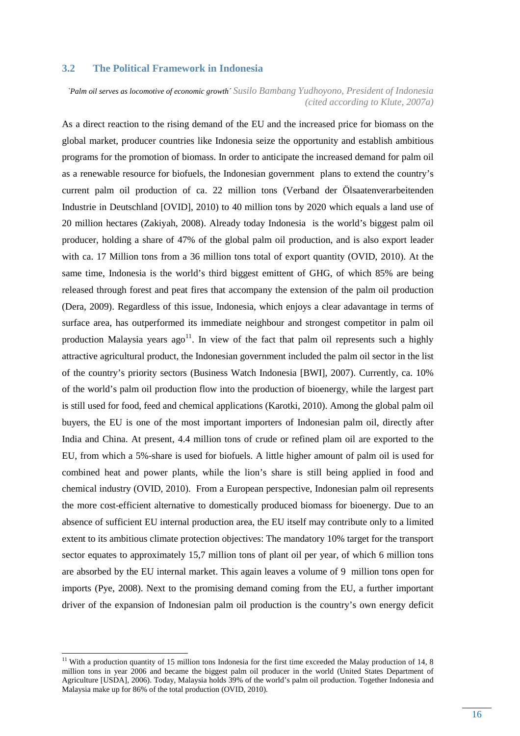#### **3.2 The Political Framework in Indonesia**

*`Palm oil serves as locomotive of economic growth´ Susilo Bambang Yudhoyono, President of Indonesia (cited according to Klute, 2007a)* 

As a direct reaction to the rising demand of the EU and the increased price for biomass on the global market, producer countries like Indonesia seize the opportunity and establish ambitious programs for the promotion of biomass. In order to anticipate the increased demand for palm oil as a renewable resource for biofuels, the Indonesian government plans to extend the country's current palm oil production of ca. 22 million tons (Verband der Ölsaatenverarbeitenden Industrie in Deutschland [OVID], 2010) to 40 million tons by 2020 which equals a land use of 20 million hectares (Zakiyah, 2008). Already today Indonesia is the world's biggest palm oil producer, holding a share of 47% of the global palm oil production, and is also export leader with ca. 17 Million tons from a 36 million tons total of export quantity (OVID, 2010). At the same time, Indonesia is the world's third biggest emittent of GHG, of which 85% are being released through forest and peat fires that accompany the extension of the palm oil production (Dera, 2009). Regardless of this issue, Indonesia, which enjoys a clear adavantage in terms of surface area, has outperformed its immediate neighbour and strongest competitor in palm oil production Malaysia years  $ago^{11}$ . In view of the fact that palm oil represents such a highly attractive agricultural product, the Indonesian government included the palm oil sector in the list of the country's priority sectors (Business Watch Indonesia [BWI], 2007). Currently, ca. 10% of the world's palm oil production flow into the production of bioenergy, while the largest part is still used for food, feed and chemical applications (Karotki, 2010). Among the global palm oil buyers, the EU is one of the most important importers of Indonesian palm oil, directly after India and China. At present, 4.4 million tons of crude or refined plam oil are exported to the EU, from which a 5%-share is used for biofuels. A little higher amount of palm oil is used for combined heat and power plants, while the lion's share is still being applied in food and chemical industry (OVID, 2010). From a European perspective, Indonesian palm oil represents the more cost-efficient alternative to domestically produced biomass for bioenergy. Due to an absence of sufficient EU internal production area, the EU itself may contribute only to a limited extent to its ambitious climate protection objectives: The mandatory 10% target for the transport sector equates to approximately 15,7 million tons of plant oil per year, of which 6 million tons are absorbed by the EU internal market. This again leaves a volume of 9 million tons open for imports (Pye, 2008). Next to the promising demand coming from the EU, a further important driver of the expansion of Indonesian palm oil production is the country's own energy deficit

 $11$  With a production quantity of 15 million tons Indonesia for the first time exceeded the Malay production of 14, 8 million tons in year 2006 and became the biggest palm oil producer in the world (United States Department of Agriculture [USDA], 2006). Today, Malaysia holds 39% of the world's palm oil production. Together Indonesia and Malaysia make up for 86% of the total production (OVID, 2010).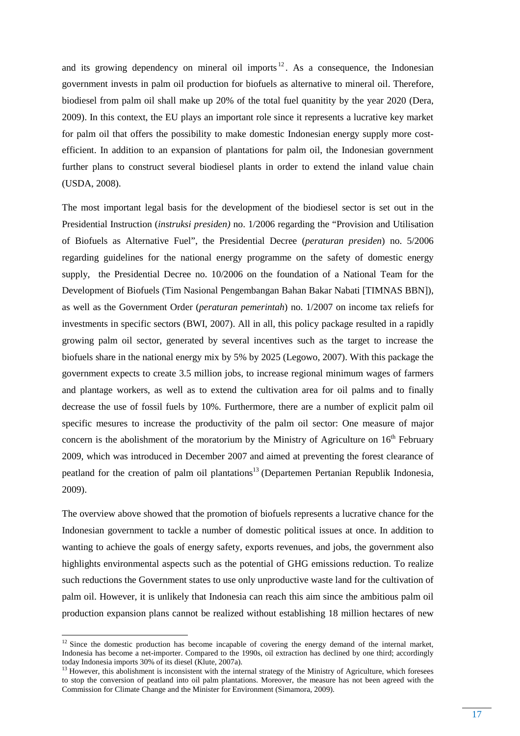and its growing dependency on mineral oil imports  $12$ . As a consequence, the Indonesian government invests in palm oil production for biofuels as alternative to mineral oil. Therefore, biodiesel from palm oil shall make up 20% of the total fuel quanitity by the year 2020 (Dera, 2009). In this context, the EU plays an important role since it represents a lucrative key market for palm oil that offers the possibility to make domestic Indonesian energy supply more costefficient. In addition to an expansion of plantations for palm oil, the Indonesian government further plans to construct several biodiesel plants in order to extend the inland value chain (USDA, 2008).

The most important legal basis for the development of the biodiesel sector is set out in the Presidential Instruction (*instruksi presiden)* no. 1/2006 regarding the "Provision and Utilisation of Biofuels as Alternative Fuel", the Presidential Decree (*peraturan presiden*) no. 5/2006 regarding guidelines for the national energy programme on the safety of domestic energy supply, the Presidential Decree no. 10/2006 on the foundation of a National Team for the Development of Biofuels (Tim Nasional Pengembangan Bahan Bakar Nabati [TIMNAS BBN]), as well as the Government Order (*peraturan pemerintah*) no. 1/2007 on income tax reliefs for investments in specific sectors (BWI, 2007). All in all, this policy package resulted in a rapidly growing palm oil sector, generated by several incentives such as the target to increase the biofuels share in the national energy mix by 5% by 2025 (Legowo, 2007). With this package the government expects to create 3.5 million jobs, to increase regional minimum wages of farmers and plantage workers, as well as to extend the cultivation area for oil palms and to finally decrease the use of fossil fuels by 10%. Furthermore, there are a number of explicit palm oil specific mesures to increase the productivity of the palm oil sector: One measure of major concern is the abolishment of the moratorium by the Ministry of Agriculture on  $16<sup>th</sup>$  February 2009, which was introduced in December 2007 and aimed at preventing the forest clearance of peatland for the creation of palm oil plantations<sup>13</sup> (Departemen Pertanian Republik Indonesia, 2009).

The overview above showed that the promotion of biofuels represents a lucrative chance for the Indonesian government to tackle a number of domestic political issues at once. In addition to wanting to achieve the goals of energy safety, exports revenues, and jobs, the government also highlights environmental aspects such as the potential of GHG emissions reduction. To realize such reductions the Government states to use only unproductive waste land for the cultivation of palm oil. However, it is unlikely that Indonesia can reach this aim since the ambitious palm oil production expansion plans cannot be realized without establishing 18 million hectares of new

 $12$  Since the domestic production has become incapable of covering the energy demand of the internal market, Indonesia has become a net-importer. Compared to the 1990s, oil extraction has declined by one third; accordingly today Indonesia imports 30% of its diesel (Klute, 2007a).

 $13$  However, this abolishment is inconsistent with the internal strategy of the Ministry of Agriculture, which foresees to stop the conversion of peatland into oil palm plantations. Moreover, the measure has not been agreed with the Commission for Climate Change and the Minister for Environment (Simamora, 2009).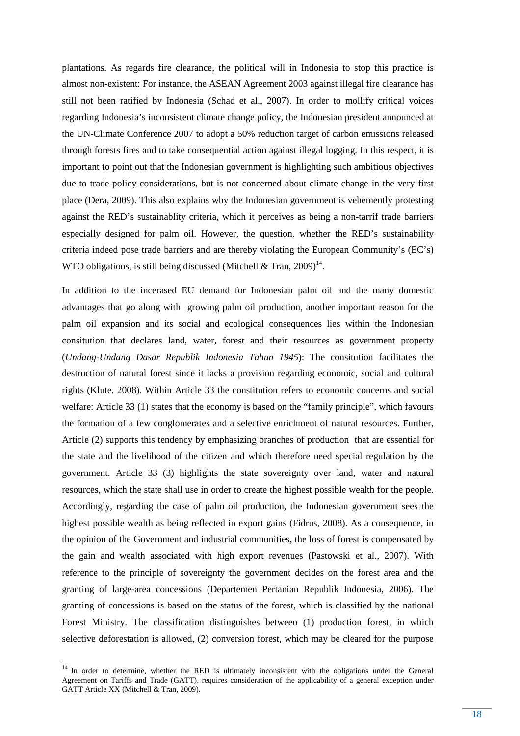plantations. As regards fire clearance, the political will in Indonesia to stop this practice is almost non-existent: For instance, the ASEAN Agreement 2003 against illegal fire clearance has still not been ratified by Indonesia (Schad et al., 2007). In order to mollify critical voices regarding Indonesia's inconsistent climate change policy, the Indonesian president announced at the UN-Climate Conference 2007 to adopt a 50% reduction target of carbon emissions released through forests fires and to take consequential action against illegal logging. In this respect, it is important to point out that the Indonesian government is highlighting such ambitious objectives due to trade-policy considerations, but is not concerned about climate change in the very first place (Dera, 2009). This also explains why the Indonesian government is vehemently protesting against the RED's sustainablity criteria, which it perceives as being a non-tarrif trade barriers especially designed for palm oil. However, the question, whether the RED's sustainability criteria indeed pose trade barriers and are thereby violating the European Community's (EC's) WTO obligations, is still being discussed (Mitchell & Tran,  $2009$ )<sup>14</sup>.

In addition to the incerased EU demand for Indonesian palm oil and the many domestic advantages that go along with growing palm oil production, another important reason for the palm oil expansion and its social and ecological consequences lies within the Indonesian consitution that declares land, water, forest and their resources as government property (*Undang-Undang Dasar Republik Indonesia Tahun 1945*): The consitution facilitates the destruction of natural forest since it lacks a provision regarding economic, social and cultural rights (Klute, 2008). Within Article 33 the constitution refers to economic concerns and social welfare: Article 33 (1) states that the economy is based on the "family principle", which favours the formation of a few conglomerates and a selective enrichment of natural resources. Further, Article (2) supports this tendency by emphasizing branches of production that are essential for the state and the livelihood of the citizen and which therefore need special regulation by the government. Article 33 (3) highlights the state sovereignty over land, water and natural resources, which the state shall use in order to create the highest possible wealth for the people. Accordingly, regarding the case of palm oil production, the Indonesian government sees the highest possible wealth as being reflected in export gains (Fidrus, 2008). As a consequence, in the opinion of the Government and industrial communities, the loss of forest is compensated by the gain and wealth associated with high export revenues (Pastowski et al., 2007). With reference to the principle of sovereignty the government decides on the forest area and the granting of large-area concessions (Departemen Pertanian Republik Indonesia, 2006). The granting of concessions is based on the status of the forest, which is classified by the national Forest Ministry. The classification distinguishes between (1) production forest, in which selective deforestation is allowed, (2) conversion forest, which may be cleared for the purpose

<sup>&</sup>lt;sup>14</sup> In order to determine, whether the RED is ultimately inconsistent with the obligations under the General Agreement on Tariffs and Trade (GATT), requires consideration of the applicability of a general exception under GATT Article XX (Mitchell & Tran, 2009).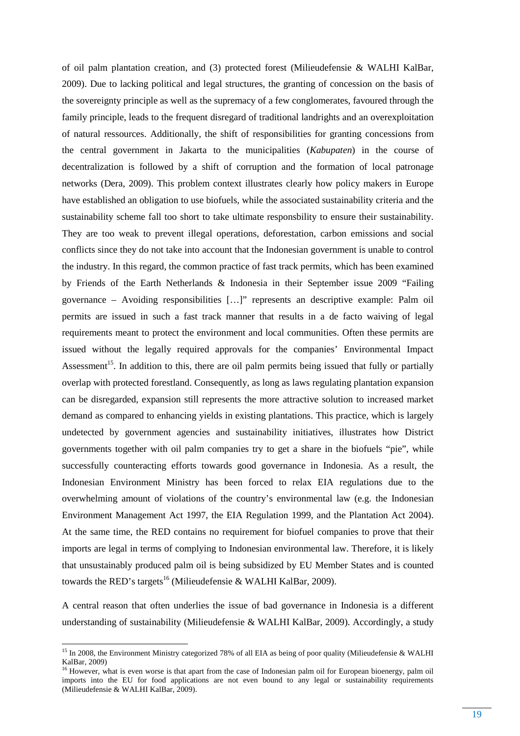of oil palm plantation creation, and (3) protected forest (Milieudefensie & WALHI KalBar, 2009). Due to lacking political and legal structures, the granting of concession on the basis of the sovereignty principle as well as the supremacy of a few conglomerates, favoured through the family principle, leads to the frequent disregard of traditional landrights and an overexploitation of natural ressources. Additionally, the shift of responsibilities for granting concessions from the central government in Jakarta to the municipalities (*Kabupaten*) in the course of decentralization is followed by a shift of corruption and the formation of local patronage networks (Dera, 2009). This problem context illustrates clearly how policy makers in Europe have established an obligation to use biofuels, while the associated sustainability criteria and the sustainability scheme fall too short to take ultimate responsbility to ensure their sustainability. They are too weak to prevent illegal operations, deforestation, carbon emissions and social conflicts since they do not take into account that the Indonesian government is unable to control the industry. In this regard, the common practice of fast track permits, which has been examined by Friends of the Earth Netherlands & Indonesia in their September issue 2009 "Failing governance – Avoiding responsibilities […]" represents an descriptive example: Palm oil permits are issued in such a fast track manner that results in a de facto waiving of legal requirements meant to protect the environment and local communities. Often these permits are issued without the legally required approvals for the companies' Environmental Impact Assessment<sup>15</sup>. In addition to this, there are oil palm permits being issued that fully or partially overlap with protected forestland. Consequently, as long as laws regulating plantation expansion can be disregarded, expansion still represents the more attractive solution to increased market demand as compared to enhancing yields in existing plantations. This practice, which is largely undetected by government agencies and sustainability initiatives, illustrates how District governments together with oil palm companies try to get a share in the biofuels "pie", while successfully counteracting efforts towards good governance in Indonesia. As a result, the Indonesian Environment Ministry has been forced to relax EIA regulations due to the overwhelming amount of violations of the country's environmental law (e.g. the Indonesian Environment Management Act 1997, the EIA Regulation 1999, and the Plantation Act 2004). At the same time, the RED contains no requirement for biofuel companies to prove that their imports are legal in terms of complying to Indonesian environmental law. Therefore, it is likely that unsustainably produced palm oil is being subsidized by EU Member States and is counted towards the RED's targets<sup>16</sup> (Milieudefensie & WALHI KalBar, 2009).

A central reason that often underlies the issue of bad governance in Indonesia is a different understanding of sustainability (Milieudefensie & WALHI KalBar, 2009). Accordingly, a study

<sup>&</sup>lt;sup>15</sup> In 2008, the Environment Ministry categorized 78% of all EIA as being of poor quality (Milieudefensie & WALHI KalBar, 2009)

<sup>&</sup>lt;sup>16</sup> However, what is even worse is that apart from the case of Indonesian palm oil for European bioenergy, palm oil imports into the EU for food applications are not even bound to any legal or sustainability requirements (Milieudefensie & WALHI KalBar, 2009).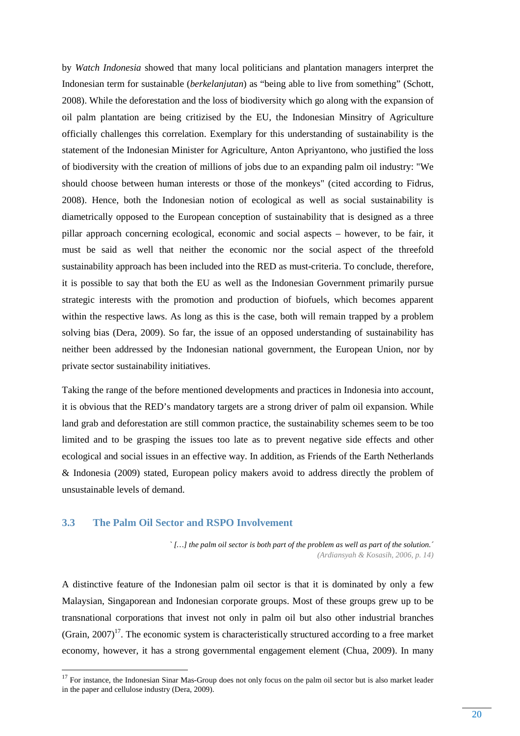by *Watch Indonesia* showed that many local politicians and plantation managers interpret the Indonesian term for sustainable (*berkelanjutan*) as "being able to live from something" (Schott, 2008). While the deforestation and the loss of biodiversity which go along with the expansion of oil palm plantation are being critizised by the EU, the Indonesian Minsitry of Agriculture officially challenges this correlation. Exemplary for this understanding of sustainability is the statement of the Indonesian Minister for Agriculture, Anton Apriyantono, who justified the loss of biodiversity with the creation of millions of jobs due to an expanding palm oil industry: "We should choose between human interests or those of the monkeys" (cited according to Fidrus, 2008). Hence, both the Indonesian notion of ecological as well as social sustainability is diametrically opposed to the European conception of sustainability that is designed as a three pillar approach concerning ecological, economic and social aspects – however, to be fair, it must be said as well that neither the economic nor the social aspect of the threefold sustainability approach has been included into the RED as must-criteria. To conclude, therefore, it is possible to say that both the EU as well as the Indonesian Government primarily pursue strategic interests with the promotion and production of biofuels, which becomes apparent within the respective laws. As long as this is the case, both will remain trapped by a problem solving bias (Dera, 2009). So far, the issue of an opposed understanding of sustainability has neither been addressed by the Indonesian national government, the European Union, nor by private sector sustainability initiatives.

Taking the range of the before mentioned developments and practices in Indonesia into account, it is obvious that the RED's mandatory targets are a strong driver of palm oil expansion. While land grab and deforestation are still common practice, the sustainability schemes seem to be too limited and to be grasping the issues too late as to prevent negative side effects and other ecological and social issues in an effective way. In addition, as Friends of the Earth Netherlands & Indonesia (2009) stated, European policy makers avoid to address directly the problem of unsustainable levels of demand.

#### **3.3 The Palm Oil Sector and RSPO Involvement**

 $\overline{a}$ 

*` […] the palm oil sector is both part of the problem as well as part of the solution.´ (Ardiansyah & Kosasih, 2006, p. 14)* 

A distinctive feature of the Indonesian palm oil sector is that it is dominated by only a few Malaysian, Singaporean and Indonesian corporate groups. Most of these groups grew up to be transnational corporations that invest not only in palm oil but also other industrial branches (Grain,  $2007$ )<sup>17</sup>. The economic system is characteristically structured according to a free market economy, however, it has a strong governmental engagement element (Chua, 2009). In many

<sup>&</sup>lt;sup>17</sup> For instance, the Indonesian Sinar Mas-Group does not only focus on the palm oil sector but is also market leader in the paper and cellulose industry (Dera, 2009).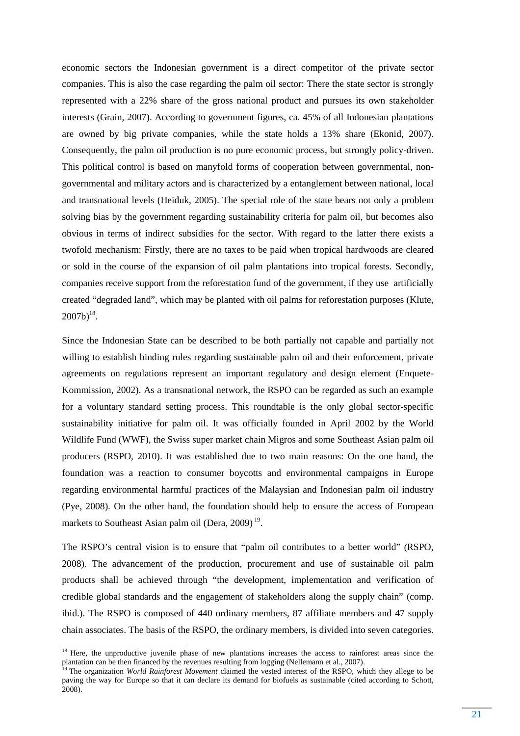economic sectors the Indonesian government is a direct competitor of the private sector companies. This is also the case regarding the palm oil sector: There the state sector is strongly represented with a 22% share of the gross national product and pursues its own stakeholder interests (Grain, 2007). According to government figures, ca. 45% of all Indonesian plantations are owned by big private companies, while the state holds a 13% share (Ekonid, 2007). Consequently, the palm oil production is no pure economic process, but strongly policy-driven. This political control is based on manyfold forms of cooperation between governmental, nongovernmental and military actors and is characterized by a entanglement between national, local and transnational levels (Heiduk, 2005). The special role of the state bears not only a problem solving bias by the government regarding sustainability criteria for palm oil, but becomes also obvious in terms of indirect subsidies for the sector. With regard to the latter there exists a twofold mechanism: Firstly, there are no taxes to be paid when tropical hardwoods are cleared or sold in the course of the expansion of oil palm plantations into tropical forests. Secondly, companies receive support from the reforestation fund of the government, if they use artificially created "degraded land", which may be planted with oil palms for reforestation purposes (Klute,  $2007b)^{18}$ .

Since the Indonesian State can be described to be both partially not capable and partially not willing to establish binding rules regarding sustainable palm oil and their enforcement, private agreements on regulations represent an important regulatory and design element (Enquete-Kommission, 2002). As a transnational network, the RSPO can be regarded as such an example for a voluntary standard setting process. This roundtable is the only global sector-specific sustainability initiative for palm oil. It was officially founded in April 2002 by the World Wildlife Fund (WWF), the Swiss super market chain Migros and some Southeast Asian palm oil producers (RSPO, 2010). It was established due to two main reasons: On the one hand, the foundation was a reaction to consumer boycotts and environmental campaigns in Europe regarding environmental harmful practices of the Malaysian and Indonesian palm oil industry (Pye, 2008). On the other hand, the foundation should help to ensure the access of European markets to Southeast Asian palm oil (Dera,  $2009$ )<sup>19</sup>.

The RSPO's central vision is to ensure that "palm oil contributes to a better world" (RSPO, 2008). The advancement of the production, procurement and use of sustainable oil palm products shall be achieved through "the development, implementation and verification of credible global standards and the engagement of stakeholders along the supply chain" (comp. ibid.). The RSPO is composed of 440 ordinary members, 87 affiliate members and 47 supply chain associates. The basis of the RSPO, the ordinary members, is divided into seven categories.

<sup>&</sup>lt;sup>18</sup> Here, the unproductive juvenile phase of new plantations increases the access to rainforest areas since the plantation can be then financed by the revenues resulting from logging (Nellemann et al., 2007).

<sup>&</sup>lt;sup>19</sup> The organization *World Rainforest Movement* claimed the vested interest of the RSPO, which they allege to be paving the way for Europe so that it can declare its demand for biofuels as sustainable (cited according to Schott, 2008).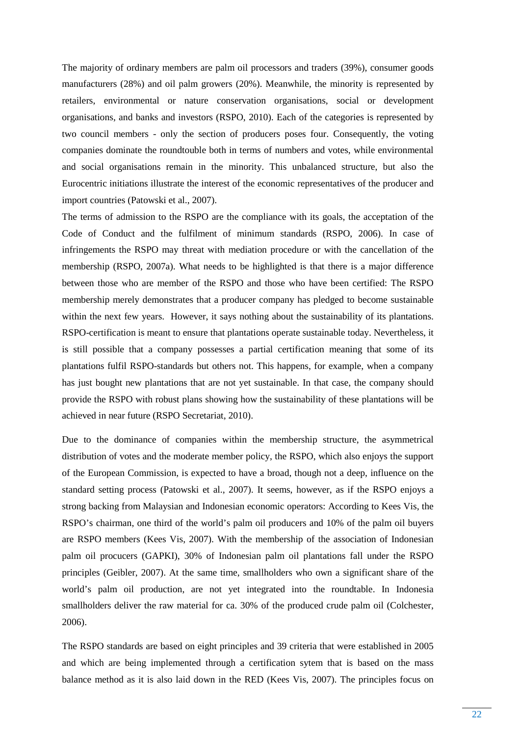The majority of ordinary members are palm oil processors and traders (39%), consumer goods manufacturers (28%) and oil palm growers (20%). Meanwhile, the minority is represented by retailers, environmental or nature conservation organisations, social or development organisations, and banks and investors (RSPO, 2010). Each of the categories is represented by two council members - only the section of producers poses four. Consequently, the voting companies dominate the roundtouble both in terms of numbers and votes, while environmental and social organisations remain in the minority. This unbalanced structure, but also the Eurocentric initiations illustrate the interest of the economic representatives of the producer and import countries (Patowski et al., 2007).

The terms of admission to the RSPO are the compliance with its goals, the acceptation of the Code of Conduct and the fulfilment of minimum standards (RSPO, 2006). In case of infringements the RSPO may threat with mediation procedure or with the cancellation of the membership (RSPO, 2007a). What needs to be highlighted is that there is a major difference between those who are member of the RSPO and those who have been certified: The RSPO membership merely demonstrates that a producer company has pledged to become sustainable within the next few years. However, it says nothing about the sustainability of its plantations. RSPO-certification is meant to ensure that plantations operate sustainable today. Nevertheless, it is still possible that a company possesses a partial certification meaning that some of its plantations fulfil RSPO-standards but others not. This happens, for example, when a company has just bought new plantations that are not yet sustainable. In that case, the company should provide the RSPO with robust plans showing how the sustainability of these plantations will be achieved in near future (RSPO Secretariat, 2010).

Due to the dominance of companies within the membership structure, the asymmetrical distribution of votes and the moderate member policy, the RSPO, which also enjoys the support of the European Commission, is expected to have a broad, though not a deep, influence on the standard setting process (Patowski et al., 2007). It seems, however, as if the RSPO enjoys a strong backing from Malaysian and Indonesian economic operators: According to Kees Vis, the RSPO's chairman, one third of the world's palm oil producers and 10% of the palm oil buyers are RSPO members (Kees Vis, 2007). With the membership of the association of Indonesian palm oil procucers (GAPKI), 30% of Indonesian palm oil plantations fall under the RSPO principles (Geibler, 2007). At the same time, smallholders who own a significant share of the world's palm oil production, are not yet integrated into the roundtable. In Indonesia smallholders deliver the raw material for ca. 30% of the produced crude palm oil (Colchester, 2006).

The RSPO standards are based on eight principles and 39 criteria that were established in 2005 and which are being implemented through a certification sytem that is based on the mass balance method as it is also laid down in the RED (Kees Vis, 2007). The principles focus on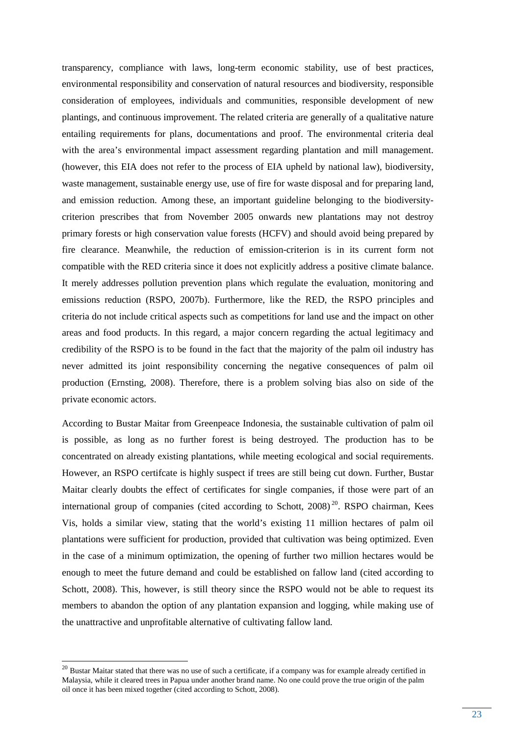transparency, compliance with laws, long-term economic stability, use of best practices, environmental responsibility and conservation of natural resources and biodiversity, responsible consideration of employees, individuals and communities, responsible development of new plantings, and continuous improvement. The related criteria are generally of a qualitative nature entailing requirements for plans, documentations and proof. The environmental criteria deal with the area's environmental impact assessment regarding plantation and mill management. (however, this EIA does not refer to the process of EIA upheld by national law), biodiversity, waste management, sustainable energy use, use of fire for waste disposal and for preparing land, and emission reduction. Among these, an important guideline belonging to the biodiversitycriterion prescribes that from November 2005 onwards new plantations may not destroy primary forests or high conservation value forests (HCFV) and should avoid being prepared by fire clearance. Meanwhile, the reduction of emission-criterion is in its current form not compatible with the RED criteria since it does not explicitly address a positive climate balance. It merely addresses pollution prevention plans which regulate the evaluation, monitoring and emissions reduction (RSPO, 2007b). Furthermore, like the RED, the RSPO principles and criteria do not include critical aspects such as competitions for land use and the impact on other areas and food products. In this regard, a major concern regarding the actual legitimacy and credibility of the RSPO is to be found in the fact that the majority of the palm oil industry has never admitted its joint responsibility concerning the negative consequences of palm oil production (Ernsting, 2008). Therefore, there is a problem solving bias also on side of the private economic actors.

According to Bustar Maitar from Greenpeace Indonesia, the sustainable cultivation of palm oil is possible, as long as no further forest is being destroyed. The production has to be concentrated on already existing plantations, while meeting ecological and social requirements. However, an RSPO certifcate is highly suspect if trees are still being cut down. Further, Bustar Maitar clearly doubts the effect of certificates for single companies, if those were part of an international group of companies (cited according to Schott,  $2008)^{20}$ . RSPO chairman, Kees Vis, holds a similar view, stating that the world's existing 11 million hectares of palm oil plantations were sufficient for production, provided that cultivation was being optimized. Even in the case of a minimum optimization, the opening of further two million hectares would be enough to meet the future demand and could be established on fallow land (cited according to Schott, 2008). This, however, is still theory since the RSPO would not be able to request its members to abandon the option of any plantation expansion and logging, while making use of the unattractive and unprofitable alternative of cultivating fallow land.

 $20$  Bustar Maitar stated that there was no use of such a certificate, if a company was for example already certified in Malaysia, while it cleared trees in Papua under another brand name. No one could prove the true origin of the palm oil once it has been mixed together (cited according to Schott, 2008).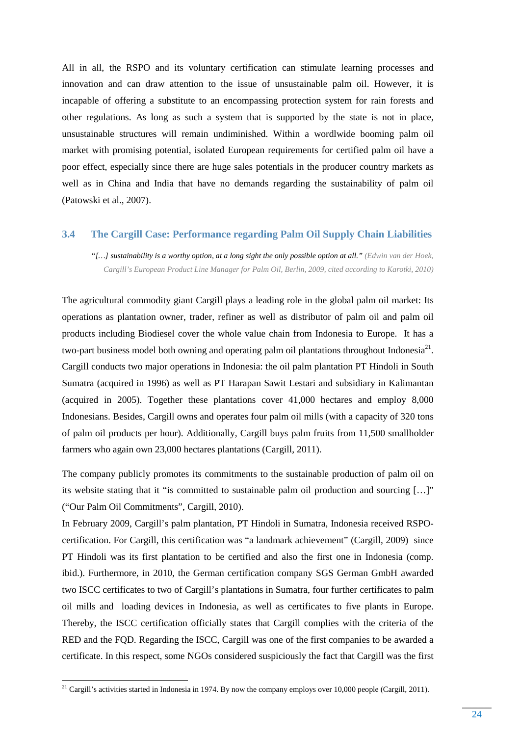All in all, the RSPO and its voluntary certification can stimulate learning processes and innovation and can draw attention to the issue of unsustainable palm oil. However, it is incapable of offering a substitute to an encompassing protection system for rain forests and other regulations. As long as such a system that is supported by the state is not in place, unsustainable structures will remain undiminished. Within a wordlwide booming palm oil market with promising potential, isolated European requirements for certified palm oil have a poor effect, especially since there are huge sales potentials in the producer country markets as well as in China and India that have no demands regarding the sustainability of palm oil (Patowski et al., 2007).

#### **3.4 The Cargill Case: Performance regarding Palm Oil Supply Chain Liabilities**

*"[…] sustainability is a worthy option, at a long sight the only possible option at all." (Edwin van der Hoek, Cargill's European Product Line Manager for Palm Oil, Berlin, 2009, cited according to Karotki, 2010)* 

The agricultural commodity giant Cargill plays a leading role in the global palm oil market: Its operations as plantation owner, trader, refiner as well as distributor of palm oil and palm oil products including Biodiesel cover the whole value chain from Indonesia to Europe. It has a two-part business model both owning and operating palm oil plantations throughout Indonesia<sup>21</sup>. Cargill conducts two major operations in Indonesia: the oil palm plantation PT Hindoli in South Sumatra (acquired in 1996) as well as PT Harapan Sawit Lestari and subsidiary in Kalimantan (acquired in 2005). Together these plantations cover 41,000 hectares and employ 8,000 Indonesians. Besides, Cargill owns and operates four palm oil mills (with a capacity of 320 tons of palm oil products per hour). Additionally, Cargill buys palm fruits from 11,500 smallholder farmers who again own 23,000 hectares plantations (Cargill, 2011).

The company publicly promotes its commitments to the sustainable production of palm oil on its website stating that it "is committed to sustainable palm oil production and sourcing […]" ("Our Palm Oil Commitments", Cargill, 2010).

In February 2009, Cargill's palm plantation, PT Hindoli in Sumatra, Indonesia received RSPOcertification. For Cargill, this certification was "a landmark achievement" (Cargill, 2009) since PT Hindoli was its first plantation to be certified and also the first one in Indonesia (comp. ibid.). Furthermore, in 2010, the German certification company SGS German GmbH awarded two ISCC certificates to two of Cargill's plantations in Sumatra, four further certificates to palm oil mills and loading devices in Indonesia, as well as certificates to five plants in Europe. Thereby, the ISCC certification officially states that Cargill complies with the criteria of the RED and the FQD. Regarding the ISCC, Cargill was one of the first companies to be awarded a certificate. In this respect, some NGOs considered suspiciously the fact that Cargill was the first

<sup>&</sup>lt;sup>21</sup> Cargill's activities started in Indonesia in 1974. By now the company employs over 10,000 people (Cargill, 2011).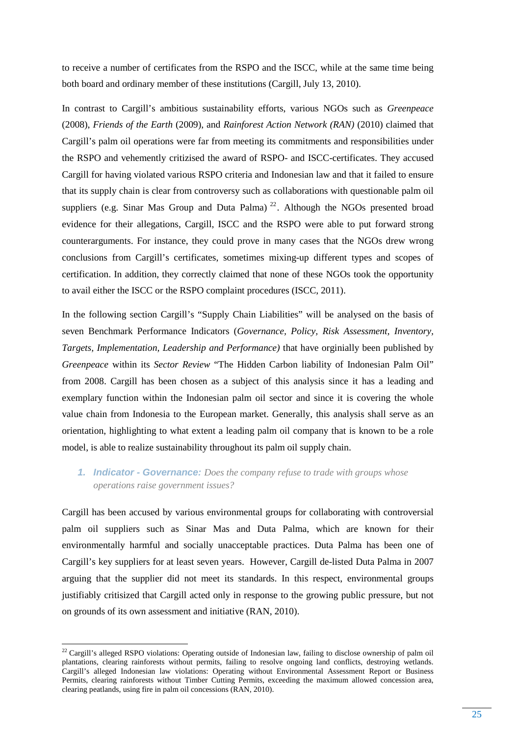to receive a number of certificates from the RSPO and the ISCC, while at the same time being both board and ordinary member of these institutions (Cargill, July 13, 2010).

In contrast to Cargill's ambitious sustainability efforts, various NGOs such as *Greenpeace*  (2008), *Friends of the Earth* (2009), and *Rainforest Action Network (RAN)* (2010) claimed that Cargill's palm oil operations were far from meeting its commitments and responsibilities under the RSPO and vehemently critizised the award of RSPO- and ISCC-certificates. They accused Cargill for having violated various RSPO criteria and Indonesian law and that it failed to ensure that its supply chain is clear from controversy such as collaborations with questionable palm oil suppliers (e.g. Sinar Mas Group and Duta Palma)  $^{22}$ . Although the NGOs presented broad evidence for their allegations, Cargill, ISCC and the RSPO were able to put forward strong counterarguments. For instance, they could prove in many cases that the NGOs drew wrong conclusions from Cargill's certificates, sometimes mixing-up different types and scopes of certification. In addition, they correctly claimed that none of these NGOs took the opportunity to avail either the ISCC or the RSPO complaint procedures (ISCC, 2011).

In the following section Cargill's "Supply Chain Liabilities" will be analysed on the basis of seven Benchmark Performance Indicators (*Governance, Policy, Risk Assessment, Inventory, Targets, Implementation, Leadership and Performance)* that have orginially been published by *Greenpeace* within its *Sector Review* "The Hidden Carbon liability of Indonesian Palm Oil" from 2008. Cargill has been chosen as a subject of this analysis since it has a leading and exemplary function within the Indonesian palm oil sector and since it is covering the whole value chain from Indonesia to the European market. Generally, this analysis shall serve as an orientation, highlighting to what extent a leading palm oil company that is known to be a role model, is able to realize sustainability throughout its palm oil supply chain.

## **1. Indicator - Governance:** *Does the company refuse to trade with groups whose operations raise government issues?*

Cargill has been accused by various environmental groups for collaborating with controversial palm oil suppliers such as Sinar Mas and Duta Palma, which are known for their environmentally harmful and socially unacceptable practices. Duta Palma has been one of Cargill's key suppliers for at least seven years. However, Cargill de-listed Duta Palma in 2007 arguing that the supplier did not meet its standards. In this respect, environmental groups justifiably critisized that Cargill acted only in response to the growing public pressure, but not on grounds of its own assessment and initiative (RAN, 2010).

 $22$  Cargill's alleged RSPO violations: Operating outside of Indonesian law, failing to disclose ownership of palm oil plantations, clearing rainforests without permits, failing to resolve ongoing land conflicts, destroying wetlands. Cargill's alleged Indonesian law violations: Operating without Environmental Assessment Report or Business Permits, clearing rainforests without Timber Cutting Permits, exceeding the maximum allowed concession area, clearing peatlands, using fire in palm oil concessions (RAN, 2010).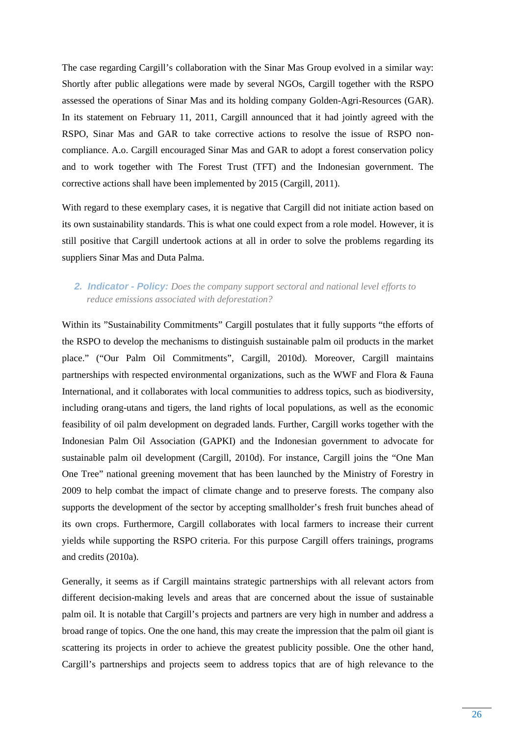The case regarding Cargill's collaboration with the Sinar Mas Group evolved in a similar way: Shortly after public allegations were made by several NGOs, Cargill together with the RSPO assessed the operations of Sinar Mas and its holding company Golden-Agri-Resources (GAR). In its statement on February 11, 2011, Cargill announced that it had jointly agreed with the RSPO, Sinar Mas and GAR to take corrective actions to resolve the issue of RSPO noncompliance. A.o. Cargill encouraged Sinar Mas and GAR to adopt a forest conservation policy and to work together with The Forest Trust (TFT) and the Indonesian government. The corrective actions shall have been implemented by 2015 (Cargill, 2011).

With regard to these exemplary cases, it is negative that Cargill did not initiate action based on its own sustainability standards. This is what one could expect from a role model. However, it is still positive that Cargill undertook actions at all in order to solve the problems regarding its suppliers Sinar Mas and Duta Palma.

## **2. Indicator - Policy:** *Does the company support sectoral and national level efforts to reduce emissions associated with deforestation?*

Within its "Sustainability Commitments" Cargill postulates that it fully supports "the efforts of the RSPO to develop the mechanisms to distinguish sustainable palm oil products in the market place." ("Our Palm Oil Commitments", Cargill, 2010d). Moreover, Cargill maintains partnerships with respected environmental organizations, such as the WWF and Flora & Fauna International, and it collaborates with local communities to address topics, such as biodiversity, including orang-utans and tigers, the land rights of local populations, as well as the economic feasibility of oil palm development on degraded lands. Further, Cargill works together with the Indonesian Palm Oil Association (GAPKI) and the Indonesian government to advocate for sustainable palm oil development (Cargill, 2010d). For instance, Cargill joins the "One Man One Tree" national greening movement that has been launched by the Ministry of Forestry in 2009 to help combat the impact of climate change and to preserve forests. The company also supports the development of the sector by accepting smallholder's fresh fruit bunches ahead of its own crops. Furthermore, Cargill collaborates with local farmers to increase their current yields while supporting the RSPO criteria. For this purpose Cargill offers trainings, programs and credits (2010a).

Generally, it seems as if Cargill maintains strategic partnerships with all relevant actors from different decision-making levels and areas that are concerned about the issue of sustainable palm oil. It is notable that Cargill's projects and partners are very high in number and address a broad range of topics. One the one hand, this may create the impression that the palm oil giant is scattering its projects in order to achieve the greatest publicity possible. One the other hand, Cargill's partnerships and projects seem to address topics that are of high relevance to the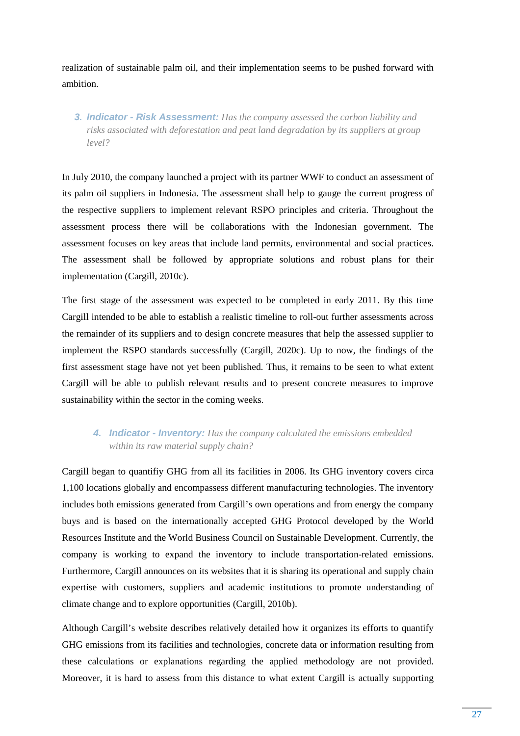realization of sustainable palm oil, and their implementation seems to be pushed forward with ambition.

**3. Indicator - Risk Assessment:** *Has the company assessed the carbon liability and risks associated with deforestation and peat land degradation by its suppliers at group level?* 

In July 2010, the company launched a project with its partner WWF to conduct an assessment of its palm oil suppliers in Indonesia. The assessment shall help to gauge the current progress of the respective suppliers to implement relevant RSPO principles and criteria. Throughout the assessment process there will be collaborations with the Indonesian government. The assessment focuses on key areas that include land permits, environmental and social practices. The assessment shall be followed by appropriate solutions and robust plans for their implementation (Cargill, 2010c).

The first stage of the assessment was expected to be completed in early 2011. By this time Cargill intended to be able to establish a realistic timeline to roll-out further assessments across the remainder of its suppliers and to design concrete measures that help the assessed supplier to implement the RSPO standards successfully (Cargill, 2020c). Up to now, the findings of the first assessment stage have not yet been published. Thus, it remains to be seen to what extent Cargill will be able to publish relevant results and to present concrete measures to improve sustainability within the sector in the coming weeks.

## **4. Indicator - Inventory:** *Has the company calculated the emissions embedded within its raw material supply chain?*

Cargill began to quantifiy GHG from all its facilities in 2006. Its GHG inventory covers circa 1,100 locations globally and encompassess different manufacturing technologies. The inventory includes both emissions generated from Cargill's own operations and from energy the company buys and is based on the internationally accepted GHG Protocol developed by the World Resources Institute and the World Business Council on Sustainable Development. Currently, the company is working to expand the inventory to include transportation-related emissions. Furthermore, Cargill announces on its websites that it is sharing its operational and supply chain expertise with customers, suppliers and academic institutions to promote understanding of climate change and to explore opportunities (Cargill, 2010b).

Although Cargill's website describes relatively detailed how it organizes its efforts to quantify GHG emissions from its facilities and technologies, concrete data or information resulting from these calculations or explanations regarding the applied methodology are not provided. Moreover, it is hard to assess from this distance to what extent Cargill is actually supporting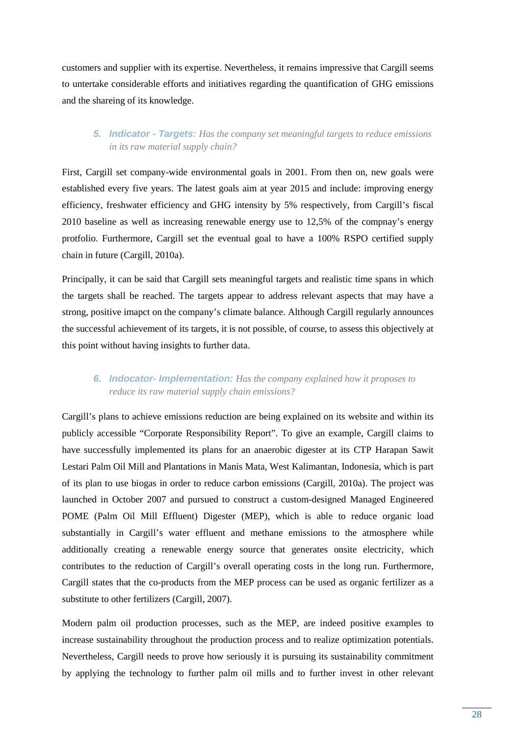customers and supplier with its expertise. Nevertheless, it remains impressive that Cargill seems to untertake considerable efforts and initiatives regarding the quantification of GHG emissions and the shareing of its knowledge.

## **5. Indicator - Targets:** *Has the company set meaningful targets to reduce emissions in its raw material supply chain?*

First, Cargill set company-wide environmental goals in 2001. From then on, new goals were established every five years. The latest goals aim at year 2015 and include: improving energy efficiency, freshwater efficiency and GHG intensity by 5% respectively, from Cargill's fiscal 2010 baseline as well as increasing renewable energy use to 12,5% of the compnay's energy protfolio. Furthermore, Cargill set the eventual goal to have a 100% RSPO certified supply chain in future (Cargill, 2010a).

Principally, it can be said that Cargill sets meaningful targets and realistic time spans in which the targets shall be reached. The targets appear to address relevant aspects that may have a strong, positive imapct on the company's climate balance. Although Cargill regularly announces the successful achievement of its targets, it is not possible, of course, to assess this objectively at this point without having insights to further data.

## **6. Indocator- Implementation:** *Has the company explained how it proposes to reduce its raw material supply chain emissions?*

Cargill's plans to achieve emissions reduction are being explained on its website and within its publicly accessible "Corporate Responsibility Report". To give an example, Cargill claims to have successfully implemented its plans for an anaerobic digester at its CTP Harapan Sawit Lestari Palm Oil Mill and Plantations in Manis Mata, West Kalimantan, Indonesia, which is part of its plan to use biogas in order to reduce carbon emissions (Cargill, 2010a). The project was launched in October 2007 and pursued to construct a custom-designed Managed Engineered POME (Palm Oil Mill Effluent) Digester (MEP), which is able to reduce organic load substantially in Cargill's water effluent and methane emissions to the atmosphere while additionally creating a renewable energy source that generates onsite electricity, which contributes to the reduction of Cargill's overall operating costs in the long run. Furthermore, Cargill states that the co-products from the MEP process can be used as organic fertilizer as a substitute to other fertilizers (Cargill, 2007).

Modern palm oil production processes, such as the MEP, are indeed positive examples to increase sustainability throughout the production process and to realize optimization potentials. Nevertheless, Cargill needs to prove how seriously it is pursuing its sustainability commitment by applying the technology to further palm oil mills and to further invest in other relevant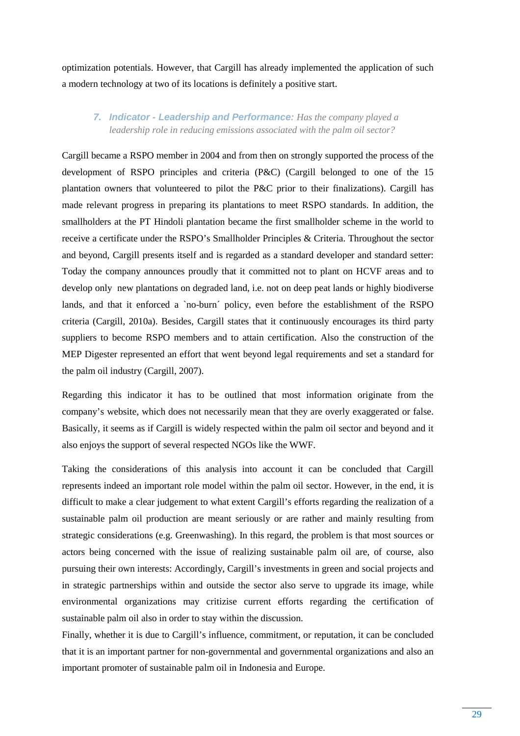optimization potentials. However, that Cargill has already implemented the application of such a modern technology at two of its locations is definitely a positive start.

## **7. Indicator - Leadership and Performance:** *Has the company played a leadership role in reducing emissions associated with the palm oil sector?*

Cargill became a RSPO member in 2004 and from then on strongly supported the process of the development of RSPO principles and criteria (P&C) (Cargill belonged to one of the 15 plantation owners that volunteered to pilot the P&C prior to their finalizations). Cargill has made relevant progress in preparing its plantations to meet RSPO standards. In addition, the smallholders at the PT Hindoli plantation became the first smallholder scheme in the world to receive a certificate under the RSPO's Smallholder Principles & Criteria. Throughout the sector and beyond, Cargill presents itself and is regarded as a standard developer and standard setter: Today the company announces proudly that it committed not to plant on HCVF areas and to develop only new plantations on degraded land, i.e. not on deep peat lands or highly biodiverse lands, and that it enforced a `no-burn´ policy, even before the establishment of the RSPO criteria (Cargill, 2010a). Besides, Cargill states that it continuously encourages its third party suppliers to become RSPO members and to attain certification. Also the construction of the MEP Digester represented an effort that went beyond legal requirements and set a standard for the palm oil industry (Cargill, 2007).

Regarding this indicator it has to be outlined that most information originate from the company's website, which does not necessarily mean that they are overly exaggerated or false. Basically, it seems as if Cargill is widely respected within the palm oil sector and beyond and it also enjoys the support of several respected NGOs like the WWF.

Taking the considerations of this analysis into account it can be concluded that Cargill represents indeed an important role model within the palm oil sector. However, in the end, it is difficult to make a clear judgement to what extent Cargill's efforts regarding the realization of a sustainable palm oil production are meant seriously or are rather and mainly resulting from strategic considerations (e.g. Greenwashing). In this regard, the problem is that most sources or actors being concerned with the issue of realizing sustainable palm oil are, of course, also pursuing their own interests: Accordingly, Cargill's investments in green and social projects and in strategic partnerships within and outside the sector also serve to upgrade its image, while environmental organizations may critizise current efforts regarding the certification of sustainable palm oil also in order to stay within the discussion.

Finally, whether it is due to Cargill's influence, commitment, or reputation, it can be concluded that it is an important partner for non-governmental and governmental organizations and also an important promoter of sustainable palm oil in Indonesia and Europe.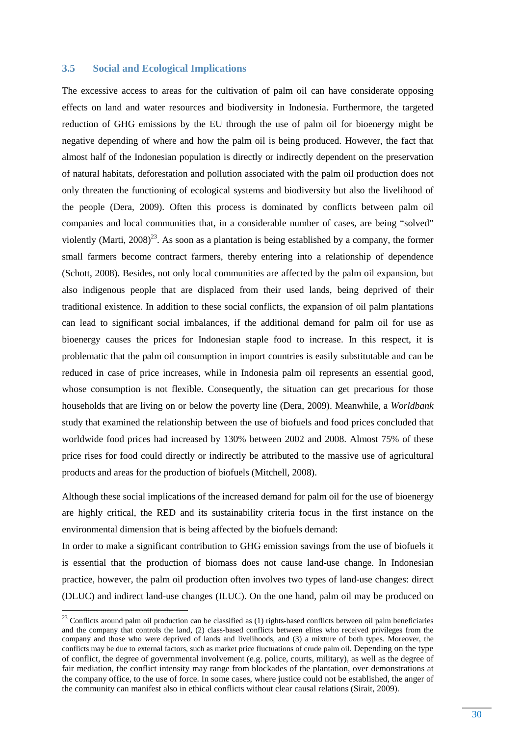#### **3.5 Social and Ecological Implications**

The excessive access to areas for the cultivation of palm oil can have considerate opposing effects on land and water resources and biodiversity in Indonesia. Furthermore, the targeted reduction of GHG emissions by the EU through the use of palm oil for bioenergy might be negative depending of where and how the palm oil is being produced. However, the fact that almost half of the Indonesian population is directly or indirectly dependent on the preservation of natural habitats, deforestation and pollution associated with the palm oil production does not only threaten the functioning of ecological systems and biodiversity but also the livelihood of the people (Dera, 2009). Often this process is dominated by conflicts between palm oil companies and local communities that, in a considerable number of cases, are being "solved" violently (Marti,  $2008)^{23}$ . As soon as a plantation is being established by a company, the former small farmers become contract farmers, thereby entering into a relationship of dependence (Schott, 2008). Besides, not only local communities are affected by the palm oil expansion, but also indigenous people that are displaced from their used lands, being deprived of their traditional existence. In addition to these social conflicts, the expansion of oil palm plantations can lead to significant social imbalances, if the additional demand for palm oil for use as bioenergy causes the prices for Indonesian staple food to increase. In this respect, it is problematic that the palm oil consumption in import countries is easily substitutable and can be reduced in case of price increases, while in Indonesia palm oil represents an essential good, whose consumption is not flexible. Consequently, the situation can get precarious for those households that are living on or below the poverty line (Dera, 2009). Meanwhile, a *Worldbank* study that examined the relationship between the use of biofuels and food prices concluded that worldwide food prices had increased by 130% between 2002 and 2008. Almost 75% of these price rises for food could directly or indirectly be attributed to the massive use of agricultural products and areas for the production of biofuels (Mitchell, 2008).

Although these social implications of the increased demand for palm oil for the use of bioenergy are highly critical, the RED and its sustainability criteria focus in the first instance on the environmental dimension that is being affected by the biofuels demand:

In order to make a significant contribution to GHG emission savings from the use of biofuels it is essential that the production of biomass does not cause land-use change. In Indonesian practice, however, the palm oil production often involves two types of land-use changes: direct (DLUC) and indirect land-use changes (ILUC). On the one hand, palm oil may be produced on

 $23$  Conflicts around palm oil production can be classified as (1) rights-based conflicts between oil palm beneficiaries and the company that controls the land, (2) class-based conflicts between elites who received privileges from the company and those who were deprived of lands and livelihoods, and (3) a mixture of both types. Moreover, the conflicts may be due to external factors, such as market price fluctuations of crude palm oil. Depending on the type of conflict, the degree of governmental involvement (e.g. police, courts, military), as well as the degree of fair mediation, the conflict intensity may range from blockades of the plantation, over demonstrations at the company office, to the use of force. In some cases, where justice could not be established, the anger of the community can manifest also in ethical conflicts without clear causal relations (Sirait, 2009).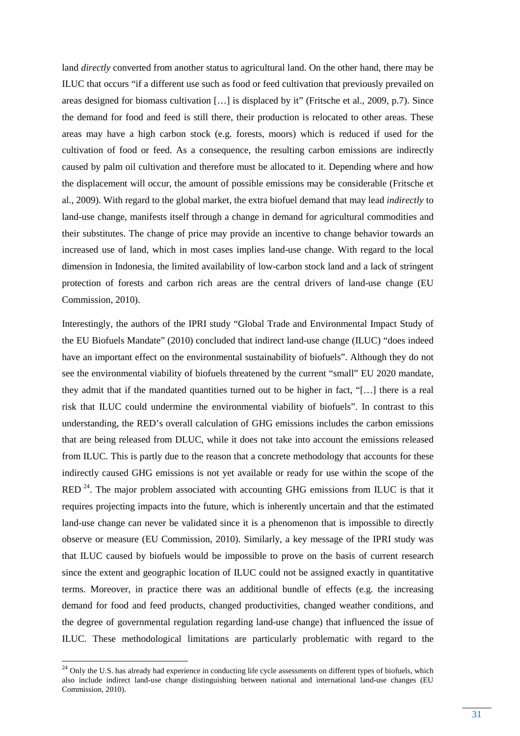land *directly* converted from another status to agricultural land. On the other hand, there may be ILUC that occurs "if a different use such as food or feed cultivation that previously prevailed on areas designed for biomass cultivation […] is displaced by it" (Fritsche et al., 2009, p.7). Since the demand for food and feed is still there, their production is relocated to other areas. These areas may have a high carbon stock (e.g. forests, moors) which is reduced if used for the cultivation of food or feed. As a consequence, the resulting carbon emissions are indirectly caused by palm oil cultivation and therefore must be allocated to it. Depending where and how the displacement will occur, the amount of possible emissions may be considerable (Fritsche et al., 2009). With regard to the global market, the extra biofuel demand that may lead *indirectly* to land-use change, manifests itself through a change in demand for agricultural commodities and their substitutes. The change of price may provide an incentive to change behavior towards an increased use of land, which in most cases implies land-use change. With regard to the local dimension in Indonesia, the limited availability of low-carbon stock land and a lack of stringent protection of forests and carbon rich areas are the central drivers of land-use change (EU Commission, 2010).

Interestingly, the authors of the IPRI study "Global Trade and Environmental Impact Study of the EU Biofuels Mandate" (2010) concluded that indirect land-use change (ILUC) "does indeed have an important effect on the environmental sustainability of biofuels". Although they do not see the environmental viability of biofuels threatened by the current "small" EU 2020 mandate, they admit that if the mandated quantities turned out to be higher in fact, "[…] there is a real risk that ILUC could undermine the environmental viability of biofuels". In contrast to this understanding, the RED's overall calculation of GHG emissions includes the carbon emissions that are being released from DLUC, while it does not take into account the emissions released from ILUC. This is partly due to the reason that a concrete methodology that accounts for these indirectly caused GHG emissions is not yet available or ready for use within the scope of the RED  $^{24}$ . The major problem associated with accounting GHG emissions from ILUC is that it requires projecting impacts into the future, which is inherently uncertain and that the estimated land-use change can never be validated since it is a phenomenon that is impossible to directly observe or measure (EU Commission, 2010). Similarly, a key message of the IPRI study was that ILUC caused by biofuels would be impossible to prove on the basis of current research since the extent and geographic location of ILUC could not be assigned exactly in quantitative terms. Moreover, in practice there was an additional bundle of effects (e.g. the increasing demand for food and feed products, changed productivities, changed weather conditions, and the degree of governmental regulation regarding land-use change) that influenced the issue of ILUC. These methodological limitations are particularly problematic with regard to the

<sup>&</sup>lt;sup>24</sup> Only the U.S. has already had experience in conducting life cycle assessments on different types of biofuels, which also include indirect land-use change distinguishing between national and international land-use changes (EU Commission, 2010).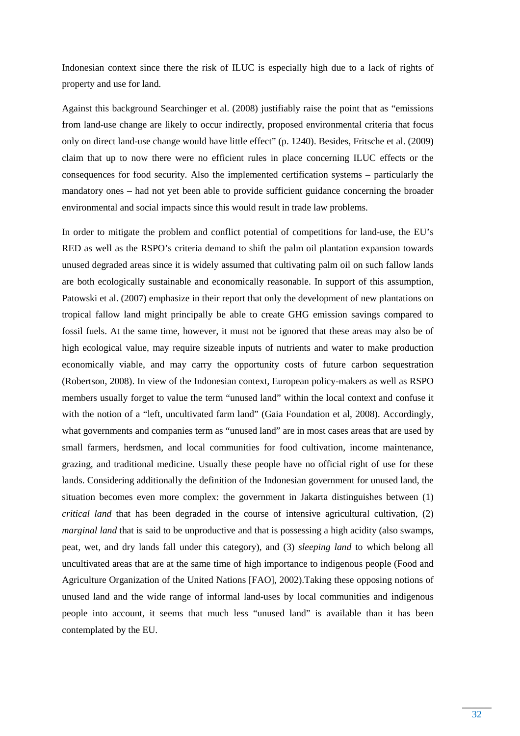Indonesian context since there the risk of ILUC is especially high due to a lack of rights of property and use for land.

Against this background Searchinger et al. (2008) justifiably raise the point that as "emissions from land-use change are likely to occur indirectly, proposed environmental criteria that focus only on direct land-use change would have little effect" (p. 1240). Besides, Fritsche et al. (2009) claim that up to now there were no efficient rules in place concerning ILUC effects or the consequences for food security. Also the implemented certification systems – particularly the mandatory ones – had not yet been able to provide sufficient guidance concerning the broader environmental and social impacts since this would result in trade law problems.

In order to mitigate the problem and conflict potential of competitions for land-use, the EU's RED as well as the RSPO's criteria demand to shift the palm oil plantation expansion towards unused degraded areas since it is widely assumed that cultivating palm oil on such fallow lands are both ecologically sustainable and economically reasonable. In support of this assumption, Patowski et al. (2007) emphasize in their report that only the development of new plantations on tropical fallow land might principally be able to create GHG emission savings compared to fossil fuels. At the same time, however, it must not be ignored that these areas may also be of high ecological value, may require sizeable inputs of nutrients and water to make production economically viable, and may carry the opportunity costs of future carbon sequestration (Robertson, 2008). In view of the Indonesian context, European policy-makers as well as RSPO members usually forget to value the term "unused land" within the local context and confuse it with the notion of a "left, uncultivated farm land" (Gaia Foundation et al, 2008). Accordingly, what governments and companies term as "unused land" are in most cases areas that are used by small farmers, herdsmen, and local communities for food cultivation, income maintenance, grazing, and traditional medicine. Usually these people have no official right of use for these lands. Considering additionally the definition of the Indonesian government for unused land, the situation becomes even more complex: the government in Jakarta distinguishes between (1) *critical land* that has been degraded in the course of intensive agricultural cultivation, (2) *marginal land* that is said to be unproductive and that is possessing a high acidity (also swamps, peat, wet, and dry lands fall under this category), and (3) *sleeping land* to which belong all uncultivated areas that are at the same time of high importance to indigenous people (Food and Agriculture Organization of the United Nations [FAO], 2002).Taking these opposing notions of unused land and the wide range of informal land-uses by local communities and indigenous people into account, it seems that much less "unused land" is available than it has been contemplated by the EU.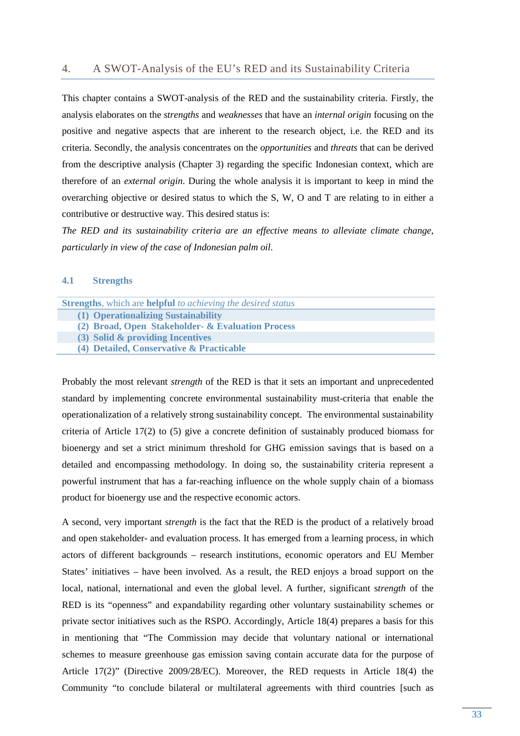This chapter contains a SWOT-analysis of the RED and the sustainability criteria. Firstly, the analysis elaborates on the *strengths* and *weaknesses* that have an *internal origin* focusing on the positive and negative aspects that are inherent to the research object, i.e. the RED and its criteria. Secondly, the analysis concentrates on the *opportunities* and *threats* that can be derived from the descriptive analysis (Chapter 3) regarding the specific Indonesian context, which are therefore of an *external origin*. During the whole analysis it is important to keep in mind the overarching objective or desired status to which the S, W, O and T are relating to in either a contributive or destructive way. This desired status is:

*The RED and its sustainability criteria are an effective means to alleviate climate change, particularly in view of the case of Indonesian palm oil.* 

#### **4.1 Strengths**

| <b>Strengths</b> , which are <b>helpful</b> to achieving the desired status |  |
|-----------------------------------------------------------------------------|--|
| (1) Operationalizing Sustainability                                         |  |
| (2) Broad, Open Stakeholder- & Evaluation Process                           |  |
| (3) Solid & providing Incentives                                            |  |
| (4) Detailed, Conservative & Practicable                                    |  |
|                                                                             |  |

Probably the most relevant *strength* of the RED is that it sets an important and unprecedented standard by implementing concrete environmental sustainability must-criteria that enable the operationalization of a relatively strong sustainability concept. The environmental sustainability criteria of Article 17(2) to (5) give a concrete definition of sustainably produced biomass for bioenergy and set a strict minimum threshold for GHG emission savings that is based on a detailed and encompassing methodology. In doing so, the sustainability criteria represent a powerful instrument that has a far-reaching influence on the whole supply chain of a biomass product for bioenergy use and the respective economic actors.

A second, very important s*trength* is the fact that the RED is the product of a relatively broad and open stakeholder- and evaluation process. It has emerged from a learning process, in which actors of different backgrounds – research institutions, economic operators and EU Member States' initiatives – have been involved. As a result, the RED enjoys a broad support on the local, national, international and even the global level. A further, significant s*trength* of the RED is its "openness" and expandability regarding other voluntary sustainability schemes or private sector initiatives such as the RSPO. Accordingly, Article 18(4) prepares a basis for this in mentioning that "The Commission may decide that voluntary national or international schemes to measure greenhouse gas emission saving contain accurate data for the purpose of Article 17(2)" (Directive 2009/28/EC). Moreover, the RED requests in Article 18(4) the Community "to conclude bilateral or multilateral agreements with third countries [such as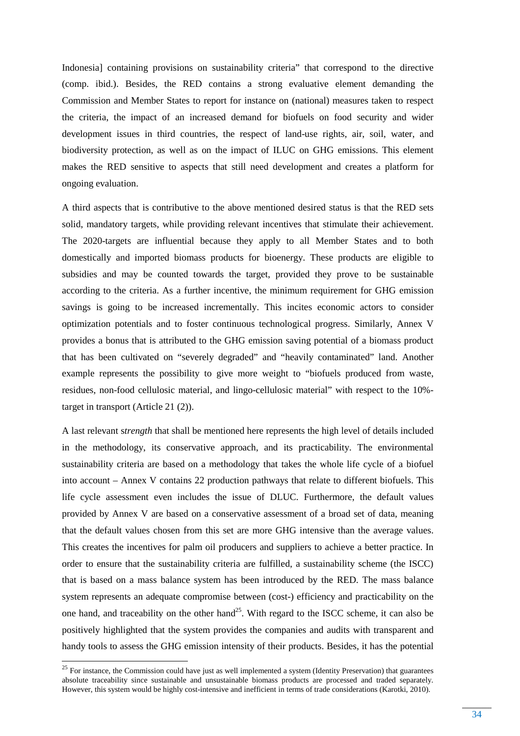Indonesia] containing provisions on sustainability criteria" that correspond to the directive (comp. ibid.). Besides, the RED contains a strong evaluative element demanding the Commission and Member States to report for instance on (national) measures taken to respect the criteria, the impact of an increased demand for biofuels on food security and wider development issues in third countries, the respect of land-use rights, air, soil, water, and biodiversity protection, as well as on the impact of ILUC on GHG emissions. This element makes the RED sensitive to aspects that still need development and creates a platform for ongoing evaluation.

A third aspects that is contributive to the above mentioned desired status is that the RED sets solid, mandatory targets, while providing relevant incentives that stimulate their achievement. The 2020-targets are influential because they apply to all Member States and to both domestically and imported biomass products for bioenergy. These products are eligible to subsidies and may be counted towards the target, provided they prove to be sustainable according to the criteria. As a further incentive, the minimum requirement for GHG emission savings is going to be increased incrementally. This incites economic actors to consider optimization potentials and to foster continuous technological progress. Similarly, Annex V provides a bonus that is attributed to the GHG emission saving potential of a biomass product that has been cultivated on "severely degraded" and "heavily contaminated" land. Another example represents the possibility to give more weight to "biofuels produced from waste, residues, non-food cellulosic material, and lingo-cellulosic material" with respect to the 10% target in transport (Article 21 (2)).

A last relevant s*trength* that shall be mentioned here represents the high level of details included in the methodology, its conservative approach, and its practicability. The environmental sustainability criteria are based on a methodology that takes the whole life cycle of a biofuel into account – Annex V contains 22 production pathways that relate to different biofuels. This life cycle assessment even includes the issue of DLUC. Furthermore, the default values provided by Annex V are based on a conservative assessment of a broad set of data, meaning that the default values chosen from this set are more GHG intensive than the average values. This creates the incentives for palm oil producers and suppliers to achieve a better practice. In order to ensure that the sustainability criteria are fulfilled, a sustainability scheme (the ISCC) that is based on a mass balance system has been introduced by the RED. The mass balance system represents an adequate compromise between (cost-) efficiency and practicability on the one hand, and traceability on the other hand<sup>25</sup>. With regard to the ISCC scheme, it can also be positively highlighted that the system provides the companies and audits with transparent and handy tools to assess the GHG emission intensity of their products. Besides, it has the potential

 $25$  For instance, the Commission could have just as well implemented a system (Identity Preservation) that guarantees absolute traceability since sustainable and unsustainable biomass products are processed and traded separately. However, this system would be highly cost-intensive and inefficient in terms of trade considerations (Karotki, 2010).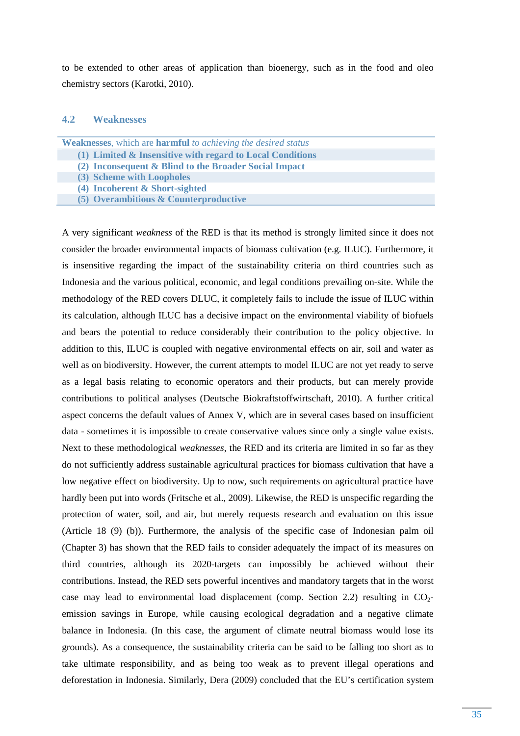to be extended to other areas of application than bioenergy, such as in the food and oleo chemistry sectors (Karotki, 2010).

#### **4.2 Weaknesses**

| <b>Weaknesses,</b> which are <b>harmful</b> to achieving the desired status |
|-----------------------------------------------------------------------------|
| (1) Limited & Insensitive with regard to Local Conditions                   |
| (2) Inconsequent & Blind to the Broader Social Impact                       |
| (3) Scheme with Loopholes                                                   |
| (4) Incoherent & Short-sighted                                              |
| $(5)$ Overambitious & Counterproductive                                     |

A very significant *weakness* of the RED is that its method is strongly limited since it does not consider the broader environmental impacts of biomass cultivation (e.g. ILUC). Furthermore, it is insensitive regarding the impact of the sustainability criteria on third countries such as Indonesia and the various political, economic, and legal conditions prevailing on-site. While the methodology of the RED covers DLUC, it completely fails to include the issue of ILUC within its calculation, although ILUC has a decisive impact on the environmental viability of biofuels and bears the potential to reduce considerably their contribution to the policy objective. In addition to this, ILUC is coupled with negative environmental effects on air, soil and water as well as on biodiversity. However, the current attempts to model ILUC are not yet ready to serve as a legal basis relating to economic operators and their products, but can merely provide contributions to political analyses (Deutsche Biokraftstoffwirtschaft, 2010). A further critical aspect concerns the default values of Annex V, which are in several cases based on insufficient data - sometimes it is impossible to create conservative values since only a single value exists. Next to these methodological *weaknesses*, the RED and its criteria are limited in so far as they do not sufficiently address sustainable agricultural practices for biomass cultivation that have a low negative effect on biodiversity. Up to now, such requirements on agricultural practice have hardly been put into words (Fritsche et al., 2009). Likewise, the RED is unspecific regarding the protection of water, soil, and air, but merely requests research and evaluation on this issue (Article 18 (9) (b)). Furthermore, the analysis of the specific case of Indonesian palm oil (Chapter 3) has shown that the RED fails to consider adequately the impact of its measures on third countries, although its 2020-targets can impossibly be achieved without their contributions. Instead, the RED sets powerful incentives and mandatory targets that in the worst case may lead to environmental load displacement (comp. Section 2.2) resulting in  $CO<sub>2</sub>$ emission savings in Europe, while causing ecological degradation and a negative climate balance in Indonesia. (In this case, the argument of climate neutral biomass would lose its grounds). As a consequence, the sustainability criteria can be said to be falling too short as to take ultimate responsibility, and as being too weak as to prevent illegal operations and deforestation in Indonesia. Similarly, Dera (2009) concluded that the EU's certification system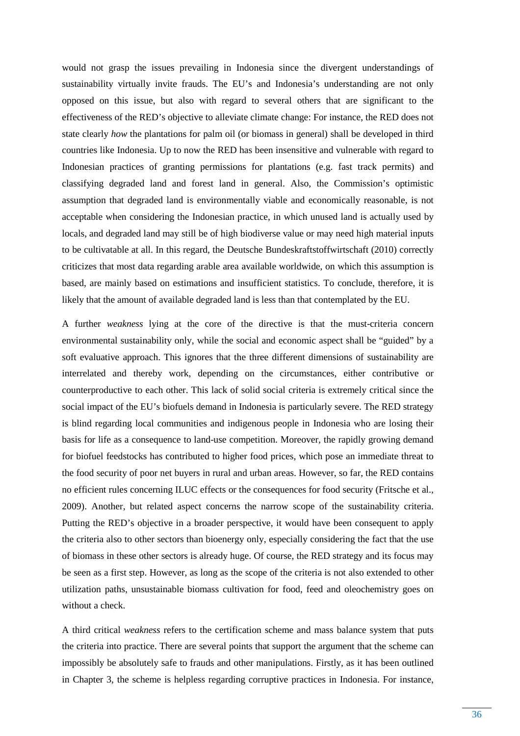would not grasp the issues prevailing in Indonesia since the divergent understandings of sustainability virtually invite frauds. The EU's and Indonesia's understanding are not only opposed on this issue, but also with regard to several others that are significant to the effectiveness of the RED's objective to alleviate climate change: For instance, the RED does not state clearly *how* the plantations for palm oil (or biomass in general) shall be developed in third countries like Indonesia. Up to now the RED has been insensitive and vulnerable with regard to Indonesian practices of granting permissions for plantations (e.g. fast track permits) and classifying degraded land and forest land in general. Also, the Commission's optimistic assumption that degraded land is environmentally viable and economically reasonable, is not acceptable when considering the Indonesian practice, in which unused land is actually used by locals, and degraded land may still be of high biodiverse value or may need high material inputs to be cultivatable at all. In this regard, the Deutsche Bundeskraftstoffwirtschaft (2010) correctly criticizes that most data regarding arable area available worldwide, on which this assumption is based, are mainly based on estimations and insufficient statistics. To conclude, therefore, it is likely that the amount of available degraded land is less than that contemplated by the EU.

A further *weakness* lying at the core of the directive is that the must-criteria concern environmental sustainability only, while the social and economic aspect shall be "guided" by a soft evaluative approach. This ignores that the three different dimensions of sustainability are interrelated and thereby work, depending on the circumstances, either contributive or counterproductive to each other. This lack of solid social criteria is extremely critical since the social impact of the EU's biofuels demand in Indonesia is particularly severe. The RED strategy is blind regarding local communities and indigenous people in Indonesia who are losing their basis for life as a consequence to land-use competition. Moreover, the rapidly growing demand for biofuel feedstocks has contributed to higher food prices, which pose an immediate threat to the food security of poor net buyers in rural and urban areas. However, so far, the RED contains no efficient rules concerning ILUC effects or the consequences for food security (Fritsche et al., 2009). Another, but related aspect concerns the narrow scope of the sustainability criteria. Putting the RED's objective in a broader perspective, it would have been consequent to apply the criteria also to other sectors than bioenergy only, especially considering the fact that the use of biomass in these other sectors is already huge. Of course, the RED strategy and its focus may be seen as a first step. However, as long as the scope of the criteria is not also extended to other utilization paths, unsustainable biomass cultivation for food, feed and oleochemistry goes on without a check.

A third critical *weakness* refers to the certification scheme and mass balance system that puts the criteria into practice. There are several points that support the argument that the scheme can impossibly be absolutely safe to frauds and other manipulations. Firstly, as it has been outlined in Chapter 3, the scheme is helpless regarding corruptive practices in Indonesia. For instance,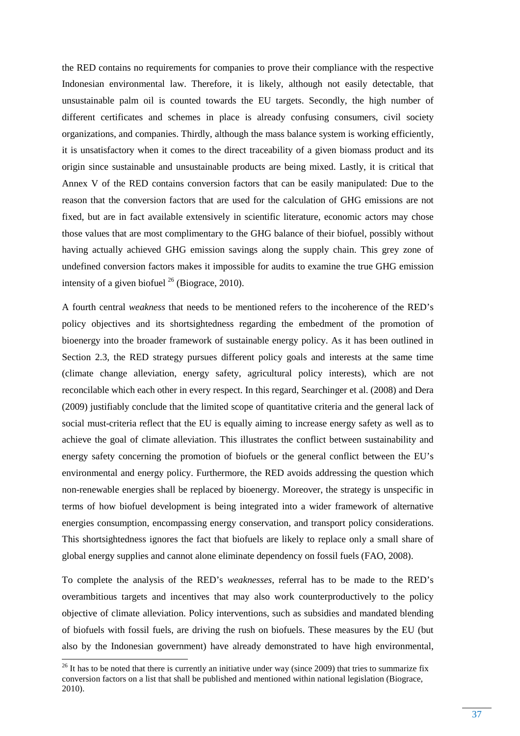the RED contains no requirements for companies to prove their compliance with the respective Indonesian environmental law. Therefore, it is likely, although not easily detectable, that unsustainable palm oil is counted towards the EU targets. Secondly, the high number of different certificates and schemes in place is already confusing consumers, civil society organizations, and companies. Thirdly, although the mass balance system is working efficiently, it is unsatisfactory when it comes to the direct traceability of a given biomass product and its origin since sustainable and unsustainable products are being mixed. Lastly, it is critical that Annex V of the RED contains conversion factors that can be easily manipulated: Due to the reason that the conversion factors that are used for the calculation of GHG emissions are not fixed, but are in fact available extensively in scientific literature, economic actors may chose those values that are most complimentary to the GHG balance of their biofuel, possibly without having actually achieved GHG emission savings along the supply chain. This grey zone of undefined conversion factors makes it impossible for audits to examine the true GHG emission intensity of a given biofuel  $^{26}$  (Biograce, 2010).

A fourth central *weakness* that needs to be mentioned refers to the incoherence of the RED's policy objectives and its shortsightedness regarding the embedment of the promotion of bioenergy into the broader framework of sustainable energy policy. As it has been outlined in Section 2.3, the RED strategy pursues different policy goals and interests at the same time (climate change alleviation, energy safety, agricultural policy interests), which are not reconcilable which each other in every respect. In this regard, Searchinger et al. (2008) and Dera (2009) justifiably conclude that the limited scope of quantitative criteria and the general lack of social must-criteria reflect that the EU is equally aiming to increase energy safety as well as to achieve the goal of climate alleviation. This illustrates the conflict between sustainability and energy safety concerning the promotion of biofuels or the general conflict between the EU's environmental and energy policy. Furthermore, the RED avoids addressing the question which non-renewable energies shall be replaced by bioenergy. Moreover, the strategy is unspecific in terms of how biofuel development is being integrated into a wider framework of alternative energies consumption, encompassing energy conservation, and transport policy considerations. This shortsightedness ignores the fact that biofuels are likely to replace only a small share of global energy supplies and cannot alone eliminate dependency on fossil fuels (FAO, 2008).

To complete the analysis of the RED's *weaknesses,* referral has to be made to the RED's overambitious targets and incentives that may also work counterproductively to the policy objective of climate alleviation. Policy interventions, such as subsidies and mandated blending of biofuels with fossil fuels, are driving the rush on biofuels. These measures by the EU (but also by the Indonesian government) have already demonstrated to have high environmental,

 $^{26}$  It has to be noted that there is currently an initiative under way (since 2009) that tries to summarize fix conversion factors on a list that shall be published and mentioned within national legislation (Biograce, 2010).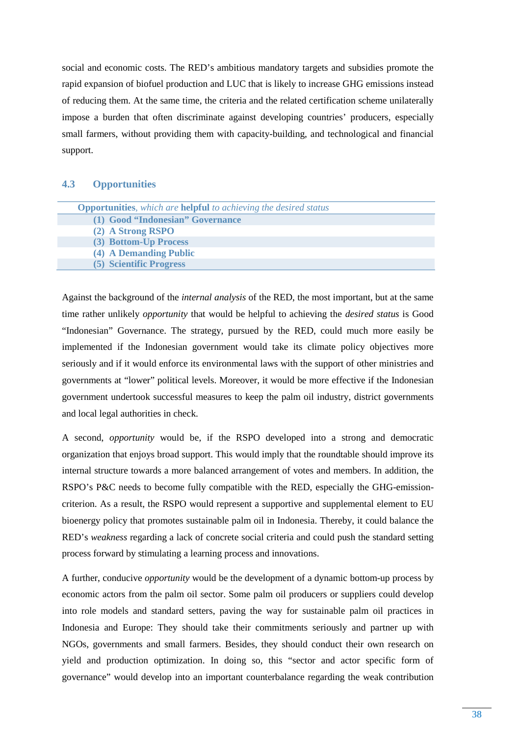social and economic costs. The RED's ambitious mandatory targets and subsidies promote the rapid expansion of biofuel production and LUC that is likely to increase GHG emissions instead of reducing them. At the same time, the criteria and the related certification scheme unilaterally impose a burden that often discriminate against developing countries' producers, especially small farmers, without providing them with capacity-building, and technological and financial support.

#### **4.3 Opportunities**

| <b>Opportunities</b> , which are <b>helpful</b> to achieving the desired status |
|---------------------------------------------------------------------------------|
| (1) Good "Indonesian" Governance                                                |
| (2) A Strong RSPO                                                               |
| (3) Bottom-Up Process                                                           |
| (4) A Demanding Public                                                          |
| (5) Scientific Progress                                                         |

Against the background of the *internal analysis* of the RED, the most important, but at the same time rather unlikely *opportunity* that would be helpful to achieving the *desired status* is Good "Indonesian" Governance. The strategy, pursued by the RED, could much more easily be implemented if the Indonesian government would take its climate policy objectives more seriously and if it would enforce its environmental laws with the support of other ministries and governments at "lower" political levels. Moreover, it would be more effective if the Indonesian government undertook successful measures to keep the palm oil industry, district governments and local legal authorities in check.

A second, *opportunity* would be, if the RSPO developed into a strong and democratic organization that enjoys broad support. This would imply that the roundtable should improve its internal structure towards a more balanced arrangement of votes and members. In addition, the RSPO's P&C needs to become fully compatible with the RED, especially the GHG-emissioncriterion. As a result, the RSPO would represent a supportive and supplemental element to EU bioenergy policy that promotes sustainable palm oil in Indonesia. Thereby, it could balance the RED's *weakness* regarding a lack of concrete social criteria and could push the standard setting process forward by stimulating a learning process and innovations.

A further, conducive *opportunity* would be the development of a dynamic bottom-up process by economic actors from the palm oil sector. Some palm oil producers or suppliers could develop into role models and standard setters, paving the way for sustainable palm oil practices in Indonesia and Europe: They should take their commitments seriously and partner up with NGOs, governments and small farmers. Besides, they should conduct their own research on yield and production optimization. In doing so, this "sector and actor specific form of governance" would develop into an important counterbalance regarding the weak contribution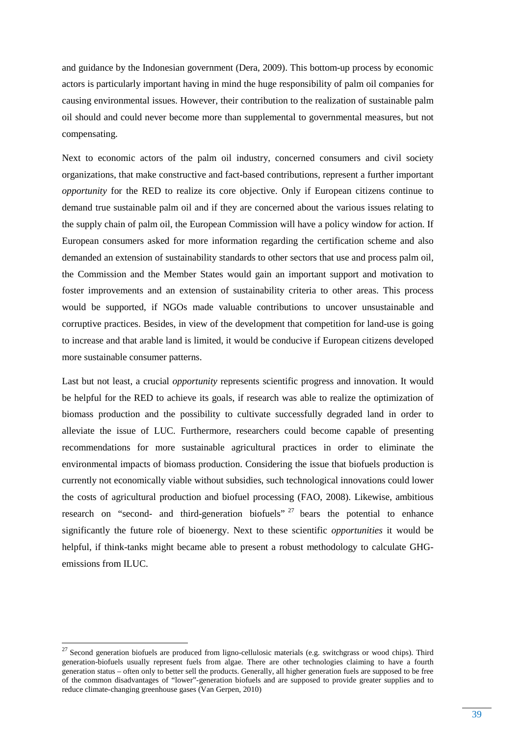and guidance by the Indonesian government (Dera, 2009). This bottom-up process by economic actors is particularly important having in mind the huge responsibility of palm oil companies for causing environmental issues. However, their contribution to the realization of sustainable palm oil should and could never become more than supplemental to governmental measures, but not compensating.

Next to economic actors of the palm oil industry, concerned consumers and civil society organizations, that make constructive and fact-based contributions, represent a further important *opportunity* for the RED to realize its core objective. Only if European citizens continue to demand true sustainable palm oil and if they are concerned about the various issues relating to the supply chain of palm oil, the European Commission will have a policy window for action. If European consumers asked for more information regarding the certification scheme and also demanded an extension of sustainability standards to other sectors that use and process palm oil, the Commission and the Member States would gain an important support and motivation to foster improvements and an extension of sustainability criteria to other areas. This process would be supported, if NGOs made valuable contributions to uncover unsustainable and corruptive practices. Besides, in view of the development that competition for land-use is going to increase and that arable land is limited, it would be conducive if European citizens developed more sustainable consumer patterns.

Last but not least, a crucial *opportunity* represents scientific progress and innovation. It would be helpful for the RED to achieve its goals, if research was able to realize the optimization of biomass production and the possibility to cultivate successfully degraded land in order to alleviate the issue of LUC. Furthermore, researchers could become capable of presenting recommendations for more sustainable agricultural practices in order to eliminate the environmental impacts of biomass production. Considering the issue that biofuels production is currently not economically viable without subsidies, such technological innovations could lower the costs of agricultural production and biofuel processing (FAO, 2008). Likewise, ambitious research on "second- and third-generation biofuels"  $27$  bears the potential to enhance significantly the future role of bioenergy. Next to these scientific *opportunities* it would be helpful, if think-tanks might became able to present a robust methodology to calculate GHGemissions from ILUC.

 $27$  Second generation biofuels are produced from ligno-cellulosic materials (e.g. switchgrass or wood chips). Third generation-biofuels usually represent fuels from algae. There are other technologies claiming to have a fourth generation status – often only to better sell the products. Generally, all higher generation fuels are supposed to be free of the common disadvantages of "lower"-generation biofuels and are supposed to provide greater supplies and to reduce climate-changing greenhouse gases (Van Gerpen, 2010)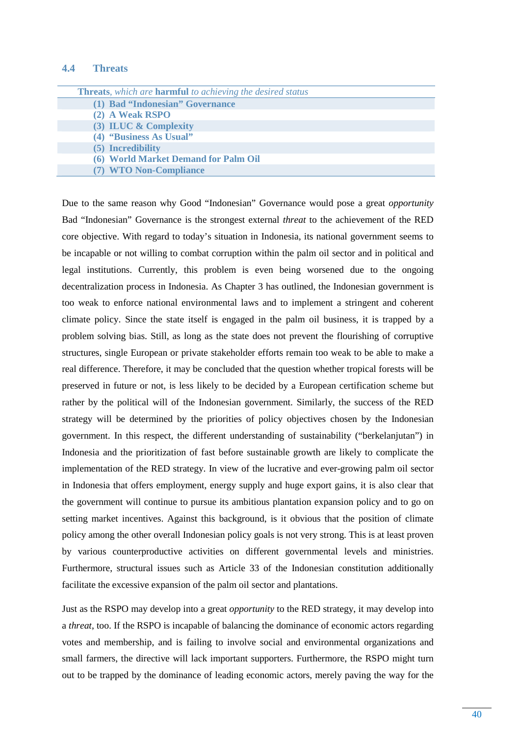#### **4.4 Threats**

| <b>Threats,</b> which are <b>harmful</b> to achieving the desired status |  |
|--------------------------------------------------------------------------|--|
| (1) Bad "Indonesian" Governance                                          |  |
| (2) A Weak RSPO                                                          |  |
| (3) ILUC & Complexity                                                    |  |
| (4) "Business As Usual"                                                  |  |
| (5) Incredibility                                                        |  |
| (6) World Market Demand for Palm Oil                                     |  |
| (7) WTO Non-Compliance                                                   |  |
|                                                                          |  |

Due to the same reason why Good "Indonesian" Governance would pose a great *opportunity*  Bad "Indonesian" Governance is the strongest external *threat* to the achievement of the RED core objective. With regard to today's situation in Indonesia, its national government seems to be incapable or not willing to combat corruption within the palm oil sector and in political and legal institutions. Currently, this problem is even being worsened due to the ongoing decentralization process in Indonesia. As Chapter 3 has outlined, the Indonesian government is too weak to enforce national environmental laws and to implement a stringent and coherent climate policy. Since the state itself is engaged in the palm oil business, it is trapped by a problem solving bias. Still, as long as the state does not prevent the flourishing of corruptive structures, single European or private stakeholder efforts remain too weak to be able to make a real difference. Therefore, it may be concluded that the question whether tropical forests will be preserved in future or not, is less likely to be decided by a European certification scheme but rather by the political will of the Indonesian government. Similarly, the success of the RED strategy will be determined by the priorities of policy objectives chosen by the Indonesian government. In this respect, the different understanding of sustainability ("berkelanjutan") in Indonesia and the prioritization of fast before sustainable growth are likely to complicate the implementation of the RED strategy. In view of the lucrative and ever-growing palm oil sector in Indonesia that offers employment, energy supply and huge export gains, it is also clear that the government will continue to pursue its ambitious plantation expansion policy and to go on setting market incentives. Against this background, is it obvious that the position of climate policy among the other overall Indonesian policy goals is not very strong. This is at least proven by various counterproductive activities on different governmental levels and ministries. Furthermore, structural issues such as Article 33 of the Indonesian constitution additionally facilitate the excessive expansion of the palm oil sector and plantations.

Just as the RSPO may develop into a great *opportunity* to the RED strategy, it may develop into a *threat*, too. If the RSPO is incapable of balancing the dominance of economic actors regarding votes and membership, and is failing to involve social and environmental organizations and small farmers, the directive will lack important supporters. Furthermore, the RSPO might turn out to be trapped by the dominance of leading economic actors, merely paving the way for the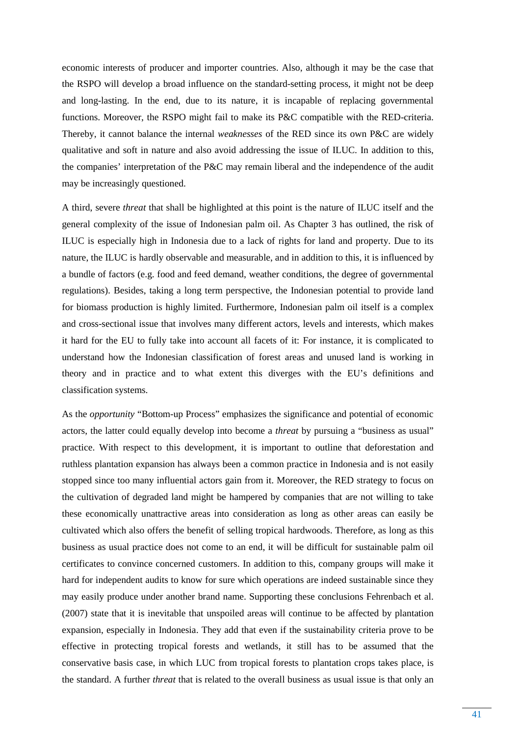economic interests of producer and importer countries. Also, although it may be the case that the RSPO will develop a broad influence on the standard-setting process, it might not be deep and long-lasting. In the end, due to its nature, it is incapable of replacing governmental functions. Moreover, the RSPO might fail to make its P&C compatible with the RED-criteria. Thereby, it cannot balance the internal *weaknesses* of the RED since its own P&C are widely qualitative and soft in nature and also avoid addressing the issue of ILUC. In addition to this, the companies' interpretation of the P&C may remain liberal and the independence of the audit may be increasingly questioned.

A third, severe *threat* that shall be highlighted at this point is the nature of ILUC itself and the general complexity of the issue of Indonesian palm oil. As Chapter 3 has outlined, the risk of ILUC is especially high in Indonesia due to a lack of rights for land and property. Due to its nature, the ILUC is hardly observable and measurable, and in addition to this, it is influenced by a bundle of factors (e.g. food and feed demand, weather conditions, the degree of governmental regulations). Besides, taking a long term perspective, the Indonesian potential to provide land for biomass production is highly limited. Furthermore, Indonesian palm oil itself is a complex and cross-sectional issue that involves many different actors, levels and interests, which makes it hard for the EU to fully take into account all facets of it: For instance, it is complicated to understand how the Indonesian classification of forest areas and unused land is working in theory and in practice and to what extent this diverges with the EU's definitions and classification systems.

As the *opportunity* "Bottom-up Process" emphasizes the significance and potential of economic actors, the latter could equally develop into become a *threat* by pursuing a "business as usual" practice. With respect to this development, it is important to outline that deforestation and ruthless plantation expansion has always been a common practice in Indonesia and is not easily stopped since too many influential actors gain from it. Moreover, the RED strategy to focus on the cultivation of degraded land might be hampered by companies that are not willing to take these economically unattractive areas into consideration as long as other areas can easily be cultivated which also offers the benefit of selling tropical hardwoods. Therefore, as long as this business as usual practice does not come to an end, it will be difficult for sustainable palm oil certificates to convince concerned customers. In addition to this, company groups will make it hard for independent audits to know for sure which operations are indeed sustainable since they may easily produce under another brand name. Supporting these conclusions Fehrenbach et al. (2007) state that it is inevitable that unspoiled areas will continue to be affected by plantation expansion, especially in Indonesia. They add that even if the sustainability criteria prove to be effective in protecting tropical forests and wetlands, it still has to be assumed that the conservative basis case, in which LUC from tropical forests to plantation crops takes place, is the standard. A further *threat* that is related to the overall business as usual issue is that only an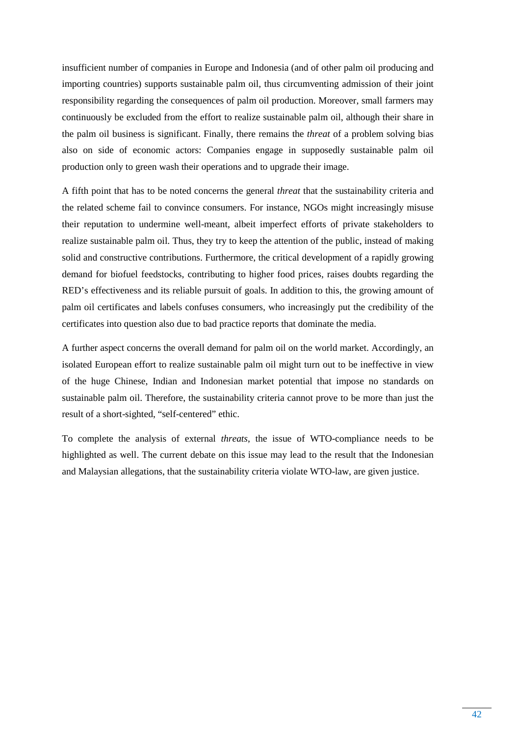insufficient number of companies in Europe and Indonesia (and of other palm oil producing and importing countries) supports sustainable palm oil, thus circumventing admission of their joint responsibility regarding the consequences of palm oil production. Moreover, small farmers may continuously be excluded from the effort to realize sustainable palm oil, although their share in the palm oil business is significant. Finally, there remains the *threat* of a problem solving bias also on side of economic actors: Companies engage in supposedly sustainable palm oil production only to green wash their operations and to upgrade their image.

A fifth point that has to be noted concerns the general *threat* that the sustainability criteria and the related scheme fail to convince consumers. For instance, NGOs might increasingly misuse their reputation to undermine well-meant, albeit imperfect efforts of private stakeholders to realize sustainable palm oil. Thus, they try to keep the attention of the public, instead of making solid and constructive contributions. Furthermore, the critical development of a rapidly growing demand for biofuel feedstocks, contributing to higher food prices, raises doubts regarding the RED's effectiveness and its reliable pursuit of goals. In addition to this, the growing amount of palm oil certificates and labels confuses consumers, who increasingly put the credibility of the certificates into question also due to bad practice reports that dominate the media.

A further aspect concerns the overall demand for palm oil on the world market. Accordingly, an isolated European effort to realize sustainable palm oil might turn out to be ineffective in view of the huge Chinese, Indian and Indonesian market potential that impose no standards on sustainable palm oil. Therefore, the sustainability criteria cannot prove to be more than just the result of a short-sighted, "self-centered" ethic.

To complete the analysis of external *threats*, the issue of WTO-compliance needs to be highlighted as well. The current debate on this issue may lead to the result that the Indonesian and Malaysian allegations, that the sustainability criteria violate WTO-law, are given justice.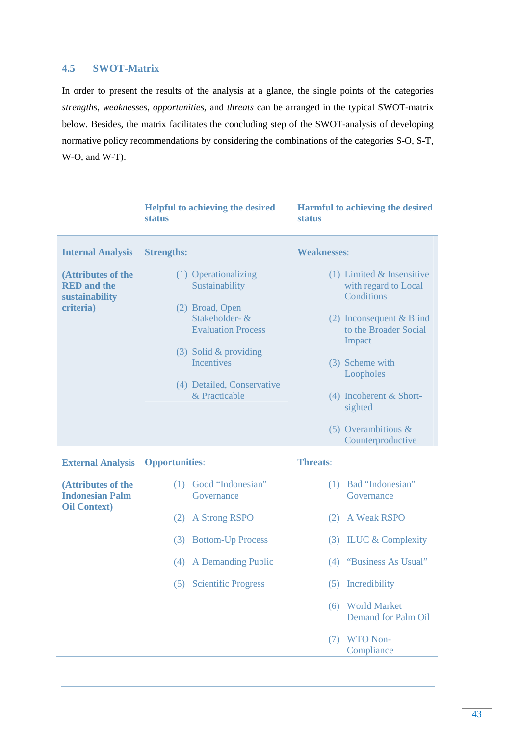## **4.5 SWOT-Matrix**

In order to present the results of the analysis at a glance, the single points of the categories *strengths*, *weaknesses*, *opportunities*, and *threats* can be arranged in the typical SWOT-matrix below. Besides, the matrix facilitates the concluding step of the SWOT-analysis of developing normative policy recommendations by considering the combinations of the categories S-O, S-T, W-O, and W-T).

|                                                                         | <b>Helpful to achieving the desired</b><br><b>status</b>                                                                                                                                                | Harmful to achieving the desired<br><b>status</b>                                                                                                                                                                                                       |
|-------------------------------------------------------------------------|---------------------------------------------------------------------------------------------------------------------------------------------------------------------------------------------------------|---------------------------------------------------------------------------------------------------------------------------------------------------------------------------------------------------------------------------------------------------------|
| <b>Internal Analysis</b>                                                | <b>Strengths:</b>                                                                                                                                                                                       | <b>Weaknesses:</b>                                                                                                                                                                                                                                      |
| (Attributes of the<br><b>RED</b> and the<br>sustainability<br>criteria) | (1) Operationalizing<br>Sustainability<br>(2) Broad, Open<br>Stakeholder- &<br><b>Evaluation Process</b><br>$(3)$ Solid & providing<br><b>Incentives</b><br>(4) Detailed, Conservative<br>& Practicable | $(1)$ Limited & Insensitive<br>with regard to Local<br>Conditions<br>(2) Inconsequent & Blind<br>to the Broader Social<br>Impact<br>(3) Scheme with<br>Loopholes<br>$(4)$ Incoherent & Short-<br>sighted<br>(5) Overambitious $\&$<br>Counterproductive |
| <b>External Analysis</b>                                                | <b>Opportunities:</b>                                                                                                                                                                                   | <b>Threats:</b>                                                                                                                                                                                                                                         |
| (Attributes of the<br><b>Indonesian Palm</b><br><b>Oil Context</b> )    | (1) Good "Indonesian"<br>Governance                                                                                                                                                                     | (1) Bad "Indonesian"<br>Governance                                                                                                                                                                                                                      |
|                                                                         | <b>A Strong RSPO</b><br>(2)                                                                                                                                                                             | (2) A Weak RSPO                                                                                                                                                                                                                                         |
|                                                                         | <b>Bottom-Up Process</b><br>(3)                                                                                                                                                                         | $(3)$ ILUC & Complexity                                                                                                                                                                                                                                 |
|                                                                         | (4) A Demanding Public                                                                                                                                                                                  | (4) "Business As Usual"                                                                                                                                                                                                                                 |
|                                                                         | (5) Scientific Progress                                                                                                                                                                                 | (5) Incredibility                                                                                                                                                                                                                                       |
|                                                                         |                                                                                                                                                                                                         | (6) World Market<br><b>Demand for Palm Oil</b>                                                                                                                                                                                                          |
|                                                                         |                                                                                                                                                                                                         | <b>WTO Non-</b><br>(7)<br>Compliance                                                                                                                                                                                                                    |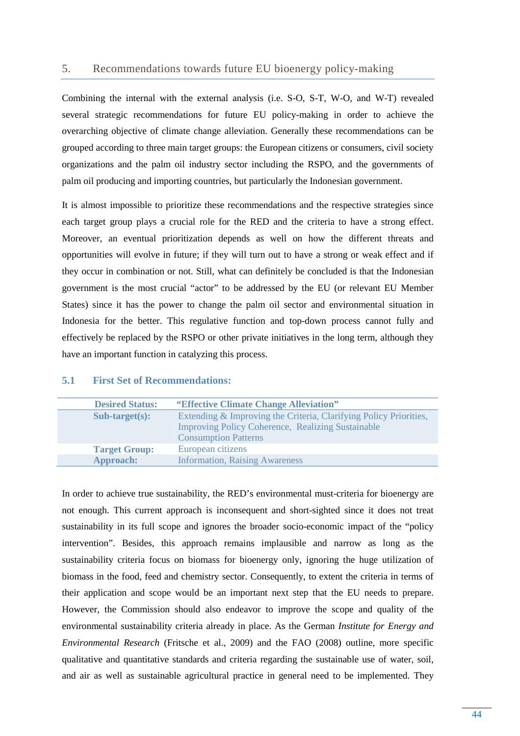#### 5. Recommendations towards future EU bioenergy policy-making

Combining the internal with the external analysis (i.e. S-O, S-T, W-O, and W-T) revealed several strategic recommendations for future EU policy-making in order to achieve the overarching objective of climate change alleviation. Generally these recommendations can be grouped according to three main target groups: the European citizens or consumers, civil society organizations and the palm oil industry sector including the RSPO, and the governments of palm oil producing and importing countries, but particularly the Indonesian government.

It is almost impossible to prioritize these recommendations and the respective strategies since each target group plays a crucial role for the RED and the criteria to have a strong effect. Moreover, an eventual prioritization depends as well on how the different threats and opportunities will evolve in future; if they will turn out to have a strong or weak effect and if they occur in combination or not. Still, what can definitely be concluded is that the Indonesian government is the most crucial "actor" to be addressed by the EU (or relevant EU Member States) since it has the power to change the palm oil sector and environmental situation in Indonesia for the better. This regulative function and top-down process cannot fully and effectively be replaced by the RSPO or other private initiatives in the long term, although they have an important function in catalyzing this process.

| <b>Desired Status:</b> | "Effective Climate Change Alleviation"                                                                                                                       |
|------------------------|--------------------------------------------------------------------------------------------------------------------------------------------------------------|
| $Sub-target(s):$       | Extending & Improving the Criteria, Clarifying Policy Priorities,<br><b>Improving Policy Coherence, Realizing Sustainable</b><br><b>Consumption Patterns</b> |
| <b>Target Group:</b>   | European citizens                                                                                                                                            |
| <b>Approach:</b>       | <b>Information, Raising Awareness</b>                                                                                                                        |

#### **5.1 First Set of Recommendations:**

In order to achieve true sustainability, the RED's environmental must-criteria for bioenergy are not enough. This current approach is inconsequent and short-sighted since it does not treat sustainability in its full scope and ignores the broader socio-economic impact of the "policy intervention". Besides, this approach remains implausible and narrow as long as the sustainability criteria focus on biomass for bioenergy only, ignoring the huge utilization of biomass in the food, feed and chemistry sector. Consequently, to extent the criteria in terms of their application and scope would be an important next step that the EU needs to prepare. However, the Commission should also endeavor to improve the scope and quality of the environmental sustainability criteria already in place. As the German *Institute for Energy and Environmental Research* (Fritsche et al., 2009) and the FAO (2008) outline, more specific qualitative and quantitative standards and criteria regarding the sustainable use of water, soil, and air as well as sustainable agricultural practice in general need to be implemented. They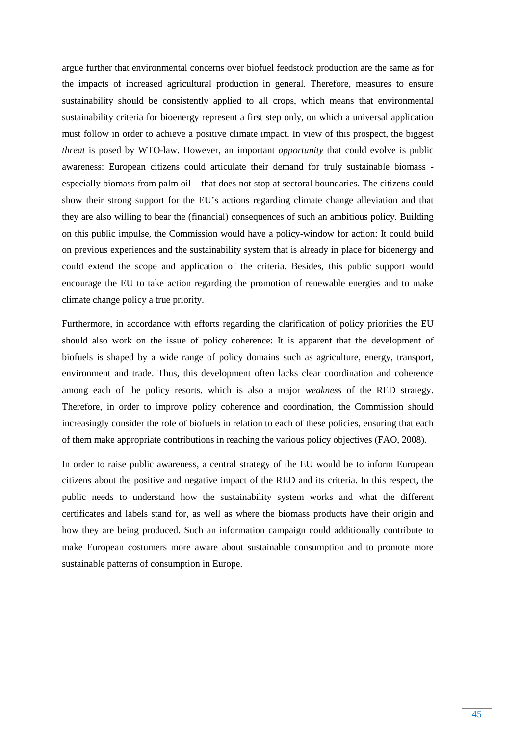argue further that environmental concerns over biofuel feedstock production are the same as for the impacts of increased agricultural production in general. Therefore, measures to ensure sustainability should be consistently applied to all crops, which means that environmental sustainability criteria for bioenergy represent a first step only, on which a universal application must follow in order to achieve a positive climate impact. In view of this prospect, the biggest *threat* is posed by WTO-law. However, an important *opportunity* that could evolve is public awareness: European citizens could articulate their demand for truly sustainable biomass especially biomass from palm oil – that does not stop at sectoral boundaries. The citizens could show their strong support for the EU's actions regarding climate change alleviation and that they are also willing to bear the (financial) consequences of such an ambitious policy. Building on this public impulse, the Commission would have a policy-window for action: It could build on previous experiences and the sustainability system that is already in place for bioenergy and could extend the scope and application of the criteria. Besides, this public support would encourage the EU to take action regarding the promotion of renewable energies and to make climate change policy a true priority.

Furthermore, in accordance with efforts regarding the clarification of policy priorities the EU should also work on the issue of policy coherence: It is apparent that the development of biofuels is shaped by a wide range of policy domains such as agriculture, energy, transport, environment and trade. Thus, this development often lacks clear coordination and coherence among each of the policy resorts, which is also a major *weakness* of the RED strategy. Therefore, in order to improve policy coherence and coordination, the Commission should increasingly consider the role of biofuels in relation to each of these policies, ensuring that each of them make appropriate contributions in reaching the various policy objectives (FAO, 2008).

In order to raise public awareness, a central strategy of the EU would be to inform European citizens about the positive and negative impact of the RED and its criteria. In this respect, the public needs to understand how the sustainability system works and what the different certificates and labels stand for, as well as where the biomass products have their origin and how they are being produced. Such an information campaign could additionally contribute to make European costumers more aware about sustainable consumption and to promote more sustainable patterns of consumption in Europe.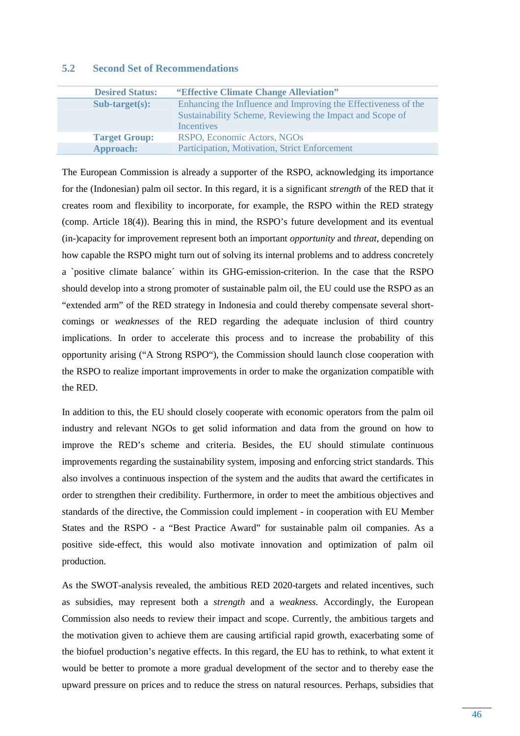## **5.2 Second Set of Recommendations**

| <b>Desired Status:</b> | "Effective Climate Change Alleviation"                                                                                                          |
|------------------------|-------------------------------------------------------------------------------------------------------------------------------------------------|
| $Sub-target(s):$       | Enhancing the Influence and Improving the Effectiveness of the<br>Sustainability Scheme, Reviewing the Impact and Scope of<br><b>Incentives</b> |
| <b>Target Group:</b>   | RSPO, Economic Actors, NGOs                                                                                                                     |
| Approach:              | Participation, Motivation, Strict Enforcement                                                                                                   |

The European Commission is already a supporter of the RSPO, acknowledging its importance for the (Indonesian) palm oil sector. In this regard, it is a significant *strength* of the RED that it creates room and flexibility to incorporate, for example, the RSPO within the RED strategy (comp. Article 18(4)). Bearing this in mind, the RSPO's future development and its eventual (in-)capacity for improvement represent both an important *opportunity* and *threat*, depending on how capable the RSPO might turn out of solving its internal problems and to address concretely a `positive climate balance´ within its GHG-emission-criterion. In the case that the RSPO should develop into a strong promoter of sustainable palm oil, the EU could use the RSPO as an "extended arm" of the RED strategy in Indonesia and could thereby compensate several shortcomings or *weaknesses* of the RED regarding the adequate inclusion of third country implications. In order to accelerate this process and to increase the probability of this opportunity arising ("A Strong RSPO"), the Commission should launch close cooperation with the RSPO to realize important improvements in order to make the organization compatible with the RED.

In addition to this, the EU should closely cooperate with economic operators from the palm oil industry and relevant NGOs to get solid information and data from the ground on how to improve the RED's scheme and criteria. Besides, the EU should stimulate continuous improvements regarding the sustainability system, imposing and enforcing strict standards. This also involves a continuous inspection of the system and the audits that award the certificates in order to strengthen their credibility. Furthermore, in order to meet the ambitious objectives and standards of the directive, the Commission could implement - in cooperation with EU Member States and the RSPO - a "Best Practice Award" for sustainable palm oil companies. As a positive side-effect, this would also motivate innovation and optimization of palm oil production.

As the SWOT-analysis revealed, the ambitious RED 2020-targets and related incentives, such as subsidies, may represent both a *strength* and a *weakness.* Accordingly, the European Commission also needs to review their impact and scope. Currently, the ambitious targets and the motivation given to achieve them are causing artificial rapid growth, exacerbating some of the biofuel production's negative effects. In this regard, the EU has to rethink, to what extent it would be better to promote a more gradual development of the sector and to thereby ease the upward pressure on prices and to reduce the stress on natural resources. Perhaps, subsidies that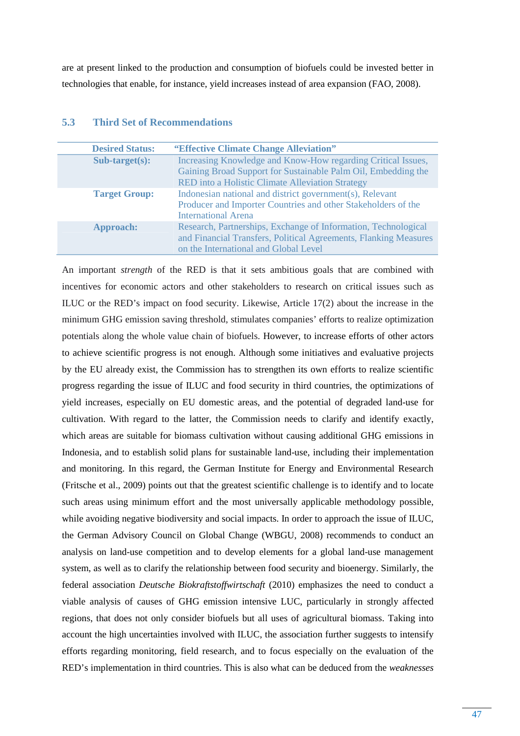are at present linked to the production and consumption of biofuels could be invested better in technologies that enable, for instance, yield increases instead of area expansion (FAO, 2008).

| <b>Desired Status:</b>  | "Effective Climate Change Alleviation"                                                                                             |
|-------------------------|------------------------------------------------------------------------------------------------------------------------------------|
| $Sub\text{-}target(s):$ | Increasing Knowledge and Know-How regarding Critical Issues,                                                                       |
|                         | Gaining Broad Support for Sustainable Palm Oil, Embedding the                                                                      |
|                         | RED into a Holistic Climate Alleviation Strategy                                                                                   |
| <b>Target Group:</b>    | Indonesian national and district government(s), Relevant                                                                           |
|                         | Producer and Importer Countries and other Stakeholders of the                                                                      |
|                         | <b>International Arena</b>                                                                                                         |
| <b>Approach:</b>        | Research, Partnerships, Exchange of Information, Technological<br>and Financial Transfers, Political Agreements, Flanking Measures |
|                         | on the International and Global Level                                                                                              |

## **5.3 Third Set of Recommendations**

An important *strength* of the RED is that it sets ambitious goals that are combined with incentives for economic actors and other stakeholders to research on critical issues such as ILUC or the RED's impact on food security. Likewise, Article 17(2) about the increase in the minimum GHG emission saving threshold, stimulates companies' efforts to realize optimization potentials along the whole value chain of biofuels. However, to increase efforts of other actors to achieve scientific progress is not enough. Although some initiatives and evaluative projects by the EU already exist, the Commission has to strengthen its own efforts to realize scientific progress regarding the issue of ILUC and food security in third countries, the optimizations of yield increases, especially on EU domestic areas, and the potential of degraded land-use for cultivation. With regard to the latter, the Commission needs to clarify and identify exactly, which areas are suitable for biomass cultivation without causing additional GHG emissions in Indonesia, and to establish solid plans for sustainable land-use, including their implementation and monitoring. In this regard, the German Institute for Energy and Environmental Research (Fritsche et al., 2009) points out that the greatest scientific challenge is to identify and to locate such areas using minimum effort and the most universally applicable methodology possible, while avoiding negative biodiversity and social impacts. In order to approach the issue of ILUC, the German Advisory Council on Global Change (WBGU, 2008) recommends to conduct an analysis on land-use competition and to develop elements for a global land-use management system, as well as to clarify the relationship between food security and bioenergy. Similarly, the federal association *Deutsche Biokraftstoffwirtschaft* (2010) emphasizes the need to conduct a viable analysis of causes of GHG emission intensive LUC, particularly in strongly affected regions, that does not only consider biofuels but all uses of agricultural biomass. Taking into account the high uncertainties involved with ILUC, the association further suggests to intensify efforts regarding monitoring, field research, and to focus especially on the evaluation of the RED's implementation in third countries. This is also what can be deduced from the *weaknesses*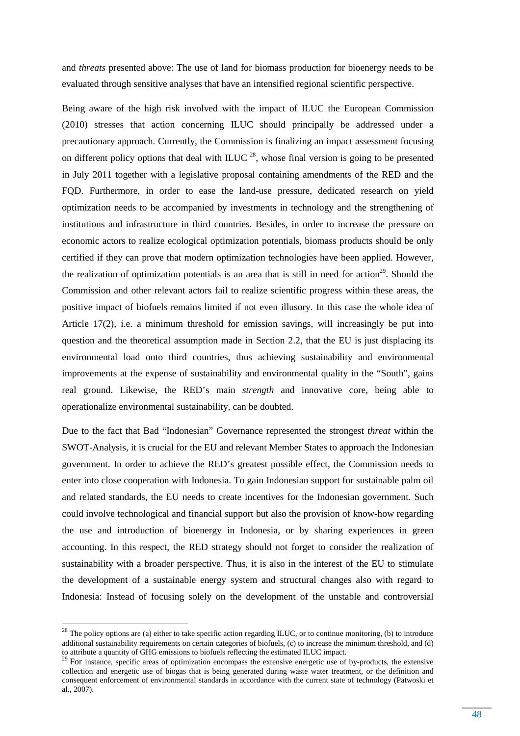and *threats* presented above: The use of land for biomass production for bioenergy needs to be evaluated through sensitive analyses that have an intensified regional scientific perspective.

Being aware of the high risk involved with the impact of ILUC the European Commission (2010) stresses that action concerning ILUC should principally be addressed under a precautionary approach. Currently, the Commission is finalizing an impact assessment focusing on different policy options that deal with ILUC  $^{28}$ , whose final version is going to be presented in July 2011 together with a legislative proposal containing amendments of the RED and the FQD. Furthermore, in order to ease the land-use pressure, dedicated research on yield optimization needs to be accompanied by investments in technology and the strengthening of institutions and infrastructure in third countries. Besides, in order to increase the pressure on economic actors to realize ecological optimization potentials, biomass products should be only certified if they can prove that modern optimization technologies have been applied. However, the realization of optimization potentials is an area that is still in need for action<sup>29</sup>. Should the Commission and other relevant actors fail to realize scientific progress within these areas, the positive impact of biofuels remains limited if not even illusory. In this case the whole idea of Article 17(2), i.e. a minimum threshold for emission savings, will increasingly be put into question and the theoretical assumption made in Section 2.2, that the EU is just displacing its environmental load onto third countries, thus achieving sustainability and environmental improvements at the expense of sustainability and environmental quality in the "South", gains real ground. Likewise, the RED's main *strength* and innovative core, being able to operationalize environmental sustainability, can be doubted.

Due to the fact that Bad "Indonesian" Governance represented the strongest *threat* within the SWOT-Analysis, it is crucial for the EU and relevant Member States to approach the Indonesian government. In order to achieve the RED's greatest possible effect, the Commission needs to enter into close cooperation with Indonesia. To gain Indonesian support for sustainable palm oil and related standards, the EU needs to create incentives for the Indonesian government. Such could involve technological and financial support but also the provision of know-how regarding the use and introduction of bioenergy in Indonesia, or by sharing experiences in green accounting. In this respect, the RED strategy should not forget to consider the realization of sustainability with a broader perspective. Thus, it is also in the interest of the EU to stimulate the development of a sustainable energy system and structural changes also with regard to Indonesia: Instead of focusing solely on the development of the unstable and controversial

 $^{28}$  The policy options are (a) either to take specific action regarding ILUC, or to continue monitoring, (b) to introduce additional sustainability requirements on certain categories of biofuels, (c) to increase the minimum threshold, and (d) to attribute a quantity of GHG emissions to biofuels reflecting the estimated ILUC impact.

<sup>&</sup>lt;sup>29</sup> For instance, specific areas of optimization encompass the extensive energetic use of by-products, the extensive collection and energetic use of biogas that is being generated during waste water treatment, or the definition and consequent enforcement of environmental standards in accordance with the current state of technology (Patwoski et al., 2007).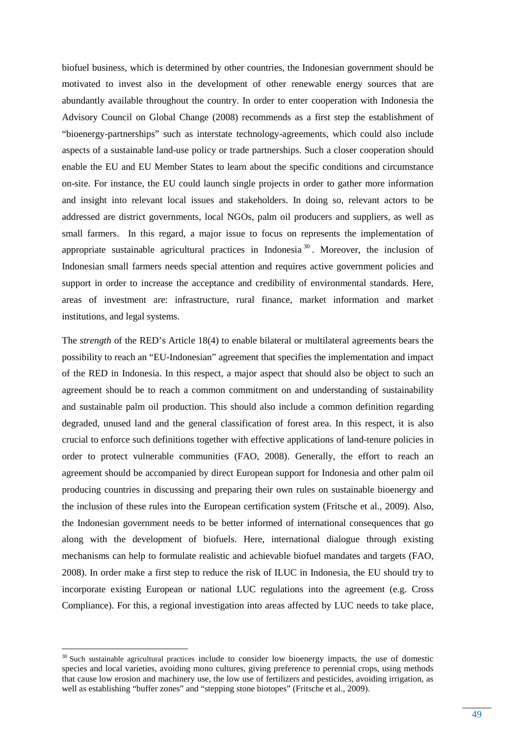biofuel business, which is determined by other countries, the Indonesian government should be motivated to invest also in the development of other renewable energy sources that are abundantly available throughout the country. In order to enter cooperation with Indonesia the Advisory Council on Global Change (2008) recommends as a first step the establishment of "bioenergy-partnerships" such as interstate technology-agreements, which could also include aspects of a sustainable land-use policy or trade partnerships. Such a closer cooperation should enable the EU and EU Member States to learn about the specific conditions and circumstance on-site. For instance, the EU could launch single projects in order to gather more information and insight into relevant local issues and stakeholders. In doing so, relevant actors to be addressed are district governments, local NGOs, palm oil producers and suppliers, as well as small farmers. In this regard, a major issue to focus on represents the implementation of appropriate sustainable agricultural practices in Indonesia<sup>30</sup>. Moreover, the inclusion of Indonesian small farmers needs special attention and requires active government policies and support in order to increase the acceptance and credibility of environmental standards. Here, areas of investment are: infrastructure, rural finance, market information and market institutions, and legal systems.

The *strength* of the RED's Article 18(4) to enable bilateral or multilateral agreements bears the possibility to reach an "EU-Indonesian" agreement that specifies the implementation and impact of the RED in Indonesia. In this respect, a major aspect that should also be object to such an agreement should be to reach a common commitment on and understanding of sustainability and sustainable palm oil production. This should also include a common definition regarding degraded, unused land and the general classification of forest area. In this respect, it is also crucial to enforce such definitions together with effective applications of land-tenure policies in order to protect vulnerable communities (FAO, 2008). Generally, the effort to reach an agreement should be accompanied by direct European support for Indonesia and other palm oil producing countries in discussing and preparing their own rules on sustainable bioenergy and the inclusion of these rules into the European certification system (Fritsche et al., 2009). Also, the Indonesian government needs to be better informed of international consequences that go along with the development of biofuels. Here, international dialogue through existing mechanisms can help to formulate realistic and achievable biofuel mandates and targets (FAO, 2008). In order make a first step to reduce the risk of ILUC in Indonesia, the EU should try to incorporate existing European or national LUC regulations into the agreement (e.g. Cross Compliance). For this, a regional investigation into areas affected by LUC needs to take place,

l

<sup>&</sup>lt;sup>30</sup> Such sustainable agricultural practices include to consider low bioenergy impacts, the use of domestic species and local varieties, avoiding mono cultures, giving preference to perennial crops, using methods that cause low erosion and machinery use, the low use of fertilizers and pesticides, avoiding irrigation, as well as establishing "buffer zones" and "stepping stone biotopes" (Fritsche et al., 2009).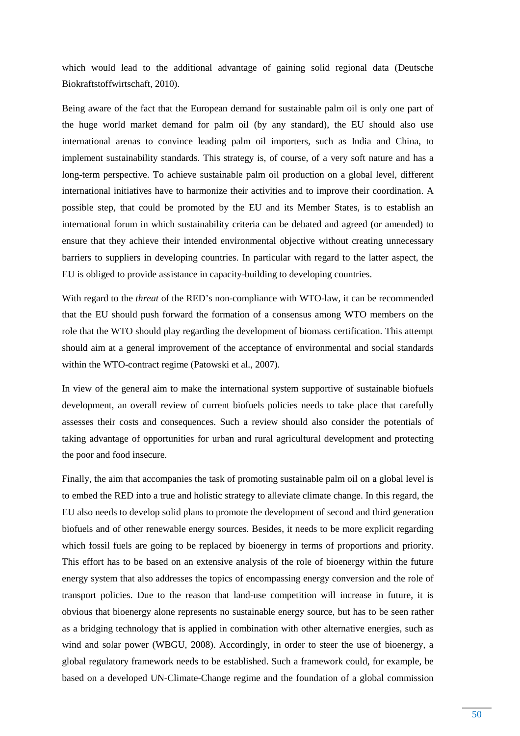which would lead to the additional advantage of gaining solid regional data (Deutsche Biokraftstoffwirtschaft, 2010).

Being aware of the fact that the European demand for sustainable palm oil is only one part of the huge world market demand for palm oil (by any standard), the EU should also use international arenas to convince leading palm oil importers, such as India and China, to implement sustainability standards. This strategy is, of course, of a very soft nature and has a long-term perspective. To achieve sustainable palm oil production on a global level, different international initiatives have to harmonize their activities and to improve their coordination. A possible step, that could be promoted by the EU and its Member States, is to establish an international forum in which sustainability criteria can be debated and agreed (or amended) to ensure that they achieve their intended environmental objective without creating unnecessary barriers to suppliers in developing countries. In particular with regard to the latter aspect, the EU is obliged to provide assistance in capacity-building to developing countries.

With regard to the *threat* of the RED's non-compliance with WTO-law, it can be recommended that the EU should push forward the formation of a consensus among WTO members on the role that the WTO should play regarding the development of biomass certification. This attempt should aim at a general improvement of the acceptance of environmental and social standards within the WTO-contract regime (Patowski et al., 2007).

In view of the general aim to make the international system supportive of sustainable biofuels development, an overall review of current biofuels policies needs to take place that carefully assesses their costs and consequences. Such a review should also consider the potentials of taking advantage of opportunities for urban and rural agricultural development and protecting the poor and food insecure.

Finally, the aim that accompanies the task of promoting sustainable palm oil on a global level is to embed the RED into a true and holistic strategy to alleviate climate change. In this regard, the EU also needs to develop solid plans to promote the development of second and third generation biofuels and of other renewable energy sources. Besides, it needs to be more explicit regarding which fossil fuels are going to be replaced by bioenergy in terms of proportions and priority. This effort has to be based on an extensive analysis of the role of bioenergy within the future energy system that also addresses the topics of encompassing energy conversion and the role of transport policies. Due to the reason that land-use competition will increase in future, it is obvious that bioenergy alone represents no sustainable energy source, but has to be seen rather as a bridging technology that is applied in combination with other alternative energies, such as wind and solar power (WBGU, 2008). Accordingly, in order to steer the use of bioenergy, a global regulatory framework needs to be established. Such a framework could, for example, be based on a developed UN-Climate-Change regime and the foundation of a global commission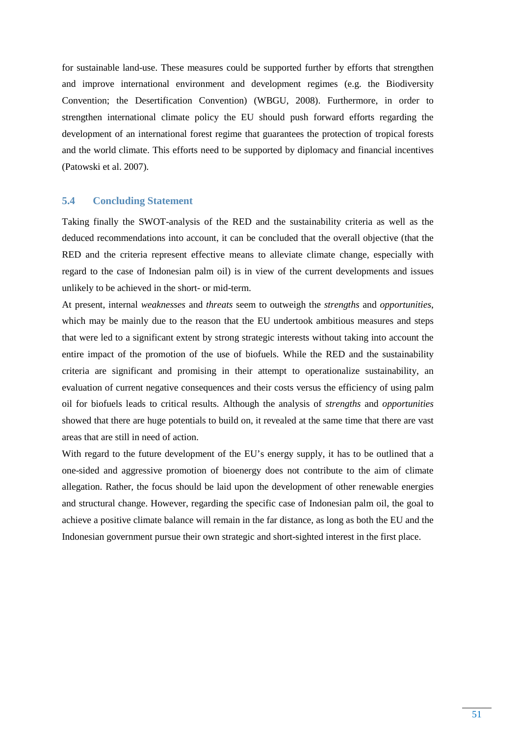for sustainable land-use. These measures could be supported further by efforts that strengthen and improve international environment and development regimes (e.g. the Biodiversity Convention; the Desertification Convention) (WBGU, 2008). Furthermore, in order to strengthen international climate policy the EU should push forward efforts regarding the development of an international forest regime that guarantees the protection of tropical forests and the world climate. This efforts need to be supported by diplomacy and financial incentives (Patowski et al. 2007).

### **5.4 Concluding Statement**

Taking finally the SWOT-analysis of the RED and the sustainability criteria as well as the deduced recommendations into account, it can be concluded that the overall objective (that the RED and the criteria represent effective means to alleviate climate change, especially with regard to the case of Indonesian palm oil) is in view of the current developments and issues unlikely to be achieved in the short- or mid-term.

At present, internal *weaknesses* and *threats* seem to outweigh the *strengths* and *opportunities*, which may be mainly due to the reason that the EU undertook ambitious measures and steps that were led to a significant extent by strong strategic interests without taking into account the entire impact of the promotion of the use of biofuels. While the RED and the sustainability criteria are significant and promising in their attempt to operationalize sustainability, an evaluation of current negative consequences and their costs versus the efficiency of using palm oil for biofuels leads to critical results. Although the analysis of *strengths* and *opportunities* showed that there are huge potentials to build on, it revealed at the same time that there are vast areas that are still in need of action.

With regard to the future development of the EU's energy supply, it has to be outlined that a one-sided and aggressive promotion of bioenergy does not contribute to the aim of climate allegation. Rather, the focus should be laid upon the development of other renewable energies and structural change. However, regarding the specific case of Indonesian palm oil, the goal to achieve a positive climate balance will remain in the far distance, as long as both the EU and the Indonesian government pursue their own strategic and short-sighted interest in the first place.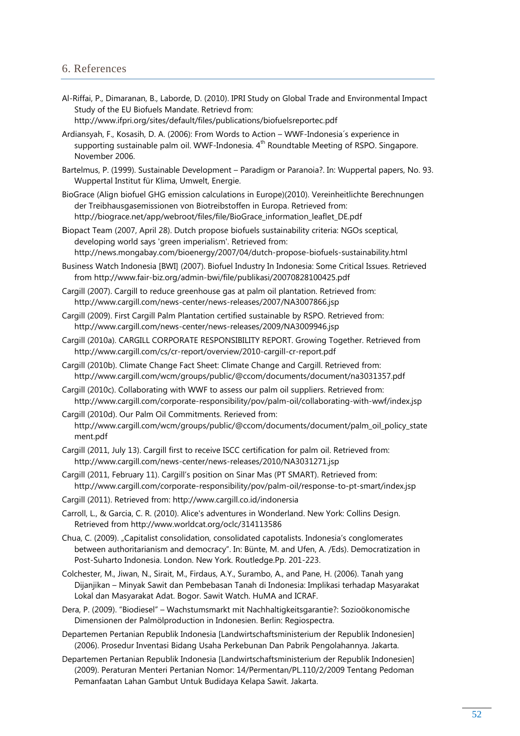## 6. References

Al-Riffai, P., Dimaranan, B., Laborde, D. (2010). IPRI Study on Global Trade and Environmental Impact Study of the EU Biofuels Mandate. Retrievd from:

http://www.ifpri.org/sites/default/files/publications/biofuelsreportec.pdf

- Ardiansyah, F., Kosasih, D. A. (2006): From Words to Action WWF-Indonesia´s experience in supporting sustainable palm oil. WWF-Indonesia.  $4<sup>th</sup>$  Roundtable Meeting of RSPO. Singapore. November 2006.
- Bartelmus, P. (1999). Sustainable Development Paradigm or Paranoia?. In: Wuppertal papers, No. 93. Wuppertal Institut für Klima, Umwelt, Energie.
- BioGrace (Align biofuel GHG emission calculations in Europe)(2010). Vereinheitlichte Berechnungen der Treibhausgasemissionen von Biotreibstoffen in Europa. Retrieved from: http://biograce.net/app/webroot/files/file/BioGrace\_information\_leaflet\_DE.pdf
- Βiopact Team (2007, April 28). Dutch propose biofuels sustainability criteria: NGOs sceptical, developing world says 'green imperialism'. Retrieved from: http://news.mongabay.com/bioenergy/2007/04/dutch-propose-biofuels-sustainability.html
- Business Watch Indonesia [BWI] (2007). Biofuel Industry In Indonesia: Some Critical Issues. Retrieved from http://www.fair-biz.org/admin-bwi/file/publikasi/20070828100425.pdf
- Cargill (2007). Cargill to reduce greenhouse gas at palm oil plantation. Retrieved from: http://www.cargill.com/news-center/news-releases/2007/NA3007866.jsp
- Cargill (2009). First Cargill Palm Plantation certified sustainable by RSPO. Retrieved from: http://www.cargill.com/news-center/news-releases/2009/NA3009946.jsp
- Cargill (2010a). CARGILL CORPORATE RESPONSIBILITY REPORT. Growing Together. Retrieved from http://www.cargill.com/cs/cr-report/overview/2010-cargill-cr-report.pdf
- Cargill (2010b). Climate Change Fact Sheet: Climate Change and Cargill. Retrieved from: http://www.cargill.com/wcm/groups/public/@ccom/documents/document/na3031357.pdf
- Cargill (2010c). Collaborating with WWF to assess our palm oil suppliers. Retrieved from: http://www.cargill.com/corporate-responsibility/pov/palm-oil/collaborating-with-wwf/index.jsp
- Cargill (2010d). Our Palm Oil Commitments. Rerieved from: http://www.cargill.com/wcm/groups/public/@ccom/documents/document/palm\_oil\_policy\_state ment.pdf
- Cargill (2011, July 13). Cargill first to receive ISCC certification for palm oil. Retrieved from: http://www.cargill.com/news-center/news-releases/2010/NA3031271.jsp
- Cargill (2011, February 11). Cargill's position on Sinar Mas (PT SMART). Retrieved from: http://www.cargill.com/corporate-responsibility/pov/palm-oil/response-to-pt-smart/index.jsp
- Cargill (2011). Retrieved from: http://www.cargill.co.id/indonersia
- Carroll, L., & Garcia, C. R. (2010). Alice's adventures in Wonderland. New York: Collins Design. Retrieved from http://www.worldcat.org/oclc/314113586
- Chua, C. (2009). "Capitalist consolidation, consolidated capotalists. Indonesia's conglomerates between authoritarianism and democracy". In: Bünte, M. and Ufen, A. /Eds). Democratization in Post-Suharto Indonesia. London. New York. Routledge.Pp. 201-223.
- Colchester, M., Jiwan, N., Sirait, M., Firdaus, A.Y., Surambo, A., and Pane, H. (2006). Tanah yang Dijanjikan – Minyak Sawit dan Pembebasan Tanah di Indonesia: Implikasi terhadap Masyarakat Lokal dan Masyarakat Adat. Bogor. Sawit Watch. HuMA and ICRAF.
- Dera, P. (2009). "Biodiesel" Wachstumsmarkt mit Nachhaltigkeitsgarantie?: Sozioökonomische Dimensionen der Palmölproduction in Indonesien. Berlin: Regiospectra.
- Departemen Pertanian Republik Indonesia [Landwirtschaftsministerium der Republik Indonesien] (2006). Prosedur Inventasi Bidang Usaha Perkebunan Dan Pabrik Pengolahannya. Jakarta.
- Departemen Pertanian Republik Indonesia [Landwirtschaftsministerium der Republik Indonesien] (2009). Peraturan Menteri Pertanian Nomor: 14/Permentan/PL.110/2/2009 Tentang Pedoman Pemanfaatan Lahan Gambut Untuk Budidaya Kelapa Sawit. Jakarta.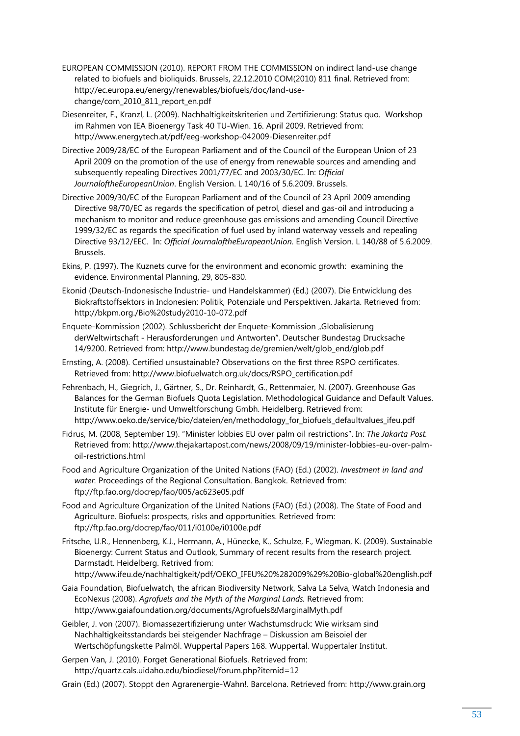- EUROPEAN COMMISSION (2010). REPORT FROM THE COMMISSION on indirect land-use change related to biofuels and bioliquids. Brussels, 22.12.2010 COM(2010) 811 final. Retrieved from: http://ec.europa.eu/energy/renewables/biofuels/doc/land-usechange/com\_2010\_811\_report\_en.pdf
- Diesenreiter, F., Kranzl, L. (2009). Nachhaltigkeitskriterien und Zertifizierung: Status quo. Workshop im Rahmen von IEA Bioenergy Task 40 TU-Wien. 16. April 2009. Retrieved from: http://www.energytech.at/pdf/eeg-workshop-042009-Diesenreiter.pdf
- Directive 2009/28/EC of the European Parliament and of the Council of the European Union of 23 April 2009 on the promotion of the use of energy from renewable sources and amending and subsequently repealing Directives 2001/77/EC and 2003/30/EC. In: *Official JournaloftheEuropeanUnion*. English Version. L 140/16 of 5.6.2009. Brussels.
- Directive 2009/30/EC of the European Parliament and of the Council of 23 April 2009 amending Directive 98/70/EC as regards the specification of petrol, diesel and gas-oil and introducing a mechanism to monitor and reduce greenhouse gas emissions and amending Council Directive 1999/32/EC as regards the specification of fuel used by inland waterway vessels and repealing Directive 93/12/EEC. In: *Official JournaloftheEuropeanUnion*. English Version. L 140/88 of 5.6.2009. Brussels.
- Ekins, P. (1997). The Kuznets curve for the environment and economic growth: examining the evidence. Environmental Planning, 29, 805-830.
- Ekonid (Deutsch-Indonesische Industrie- und Handelskammer) (Ed.) (2007). Die Entwicklung des Biokraftstoffsektors in Indonesien: Politik, Potenziale und Perspektiven. Jakarta. Retrieved from: http://bkpm.org./Bio%20study2010-10-072.pdf
- Enquete-Kommission (2002). Schlussbericht der Enquete-Kommission "Globalisierung derWeltwirtschaft - Herausforderungen und Antworten". Deutscher Bundestag Drucksache 14/9200. Retrieved from: http://www.bundestag.de/gremien/welt/glob\_end/glob.pdf
- Ernsting, A. (2008). Certified unsustainable? Observations on the first three RSPO certificates. Retrieved from: http://www.biofuelwatch.org.uk/docs/RSPO\_certification.pdf
- Fehrenbach, H., Giegrich, J., Gärtner, S., Dr. Reinhardt, G., Rettenmaier, N. (2007). Greenhouse Gas Balances for the German Biofuels Quota Legislation. Methodological Guidance and Default Values. Institute für Energie- und Umweltforschung Gmbh. Heidelberg. Retrieved from: http://www.oeko.de/service/bio/dateien/en/methodology for biofuels defaultvalues ifeu.pdf
- Fidrus, M. (2008, September 19). "Minister lobbies EU over palm oil restrictions". In: *The Jakarta Post.*  Retrieved from: http://www.thejakartapost.com/news/2008/09/19/minister-lobbies-eu-over-palmoil-restrictions.html
- Food and Agriculture Organization of the United Nations (FAO) (Ed.) (2002). *Investment in land and water.* Proceedings of the Regional Consultation. Bangkok. Retrieved from: ftp://ftp.fao.org/docrep/fao/005/ac623e05.pdf
- Food and Agriculture Organization of the United Nations (FAO) (Ed.) (2008). The State of Food and Agriculture. Biofuels: prospects, risks and opportunities. Retrieved from: ftp://ftp.fao.org/docrep/fao/011/i0100e/i0100e.pdf
- Fritsche, U.R., Hennenberg, K.J., Hermann, A., Hünecke, K., Schulze, F., Wiegman, K. (2009). Sustainable Bioenergy: Current Status and Outlook, Summary of recent results from the research project. Darmstadt. Heidelberg. Retrived from: http://www.ifeu.de/nachhaltigkeit/pdf/OEKO\_IFEU%20%282009%29%20Bio-global%20english.pdf
- Gaia Foundation, Biofuelwatch, the african Biodiversity Network, Salva La Selva, Watch Indonesia and EcoNexus (2008). *Agrofuels and the Myth of the Marginal Lands.* Retrieved from: http://www.gaiafoundation.org/documents/Agrofuels&MarginalMyth.pdf
- Geibler, J. von (2007). Biomassezertifizierung unter Wachstumsdruck: Wie wirksam sind Nachhaltigkeitsstandards bei steigender Nachfrage – Diskussion am Beisoiel der Wertschöpfungskette Palmöl. Wuppertal Papers 168. Wuppertal. Wuppertaler Institut.
- Gerpen Van, J. (2010). Forget Generational Biofuels. Retrieved from: http://quartz.cals.uidaho.edu/biodiesel/forum.php?itemid=12
- Grain (Ed.) (2007). Stoppt den Agrarenergie-Wahn!. Barcelona. Retrieved from: http://www.grain.org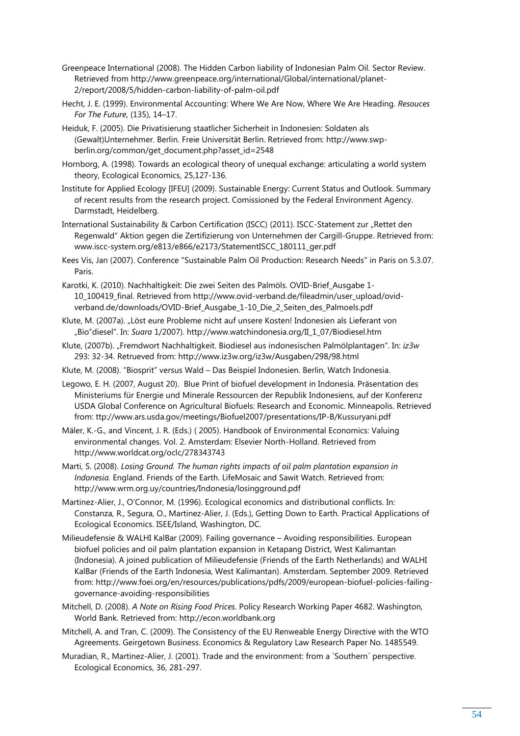- Greenpeace International (2008). The Hidden Carbon liability of Indonesian Palm Oil. Sector Review. Retrieved from http://www.greenpeace.org/international/Global/international/planet-2/report/2008/5/hidden-carbon-liability-of-palm-oil.pdf
- Hecht, J. E. (1999). Environmental Accounting: Where We Are Now, Where We Are Heading. *Resouces For The Future*, (135), 14–17.
- Heiduk, F. (2005). Die Privatisierung staatlicher Sicherheit in Indonesien: Soldaten als (Gewalt)Unternehmer. Berlin. Freie Universität Berlin. Retrieved from: http://www.swpberlin.org/common/get\_document.php?asset\_id=2548
- Hornborg, A. (1998). Towards an ecological theory of unequal exchange: articulating a world system theory, Ecological Economics, 25,127-136.
- Institute for Applied Ecology [IFEU] (2009). Sustainable Energy: Current Status and Outlook. Summary of recent results from the research project. Comissioned by the Federal Environment Agency. Darmstadt, Heidelberg.
- International Sustainability & Carbon Certification (ISCC) (2011). ISCC-Statement zur "Rettet den Regenwald" Aktion gegen die Zertifizierung von Unternehmen der Cargill-Gruppe. Retrieved from: www.iscc-system.org/e813/e866/e2173/StatementISCC\_180111\_ger.pdf
- Kees Vis, Jan (2007). Conference "Sustainable Palm Oil Production: Research Needs" in Paris on 5.3.07. Paris.
- Karotki, K. (2010). Nachhaltigkeit: Die zwei Seiten des Palmöls. OVID-Brief\_Ausgabe 1- 10\_100419\_final. Retrieved from http://www.ovid-verband.de/fileadmin/user\_upload/ovidverband.de/downloads/OVID-Brief\_Ausgabe\_1-10\_Die\_2\_Seiten\_des\_Palmoels.pdf
- Klute, M. (2007a). "Löst eure Probleme nicht auf unsere Kosten! Indonesien als Lieferant von "Bio"diesel". In: *Suara* 1/2007). http://www.watchindonesia.org/II\_1\_07/Biodiesel.htm
- Klute, (2007b). "Fremdwort Nachhaltigkeit. Biodiesel aus indonesischen Palmölplantagen". In: *iz3w*  293: 32-34. Retrueved from: http://www.iz3w.org/iz3w/Ausgaben/298/98.html
- Klute, M. (2008). "Biosprit" versus Wald Das Beispiel Indonesien. Berlin, Watch Indonesia.
- Legowo, E. H. (2007, August 20). Blue Print of biofuel development in Indonesia. Präsentation des Ministeriums für Energie und Minerale Ressourcen der Republik Indonesiens, auf der Konferenz USDA Global Conference on Agricultural Biofuels: Research and Economic. Minneapolis. Retrieved from: ttp://www.ars.usda.gov/meetings/Biofuel2007/presentations/IP-B/Kussuryani.pdf
- Mäler, K.-G., and Vincent, J. R. (Eds.) ( 2005). Handbook of Environmental Economics: Valuing environmental changes. Vol. 2. Amsterdam: Elsevier North-Holland. Retrieved from http://www.worldcat.org/oclc/278343743
- Marti, S. (2008). *Losing Ground. The human rights impacts of oil palm plantation expansion in Indonesia.* England. Friends of the Earth. LifeMosaic and Sawit Watch. Retrieved from: http://www.wrm.org.uy/countries/Indonesia/losingground.pdf
- Martinez-Alier, J., O'Connor, M. (1996). Ecological economics and distributional conflicts. In: Constanza, R., Segura, O., Martinez-Alier, J. (Eds.), Getting Down to Earth. Practical Applications of Ecological Economics. ISEE/Island, Washington, DC.
- Milieudefensie & WALHI KalBar (2009). Failing governance Avoiding responsibilities. European biofuel policies and oil palm plantation expansion in Ketapang District, West Kalimantan (Indonesia). A joined publication of Milieudefensie (Friends of the Earth Netherlands) and WALHI KalBar (Friends of the Earth Indonesia, West Kalimantan). Amsterdam. September 2009. Retrieved from: http://www.foei.org/en/resources/publications/pdfs/2009/european-biofuel-policies-failinggovernance-avoiding-responsibilities
- Mitchell, D. (2008). *A Note on Rising Food Prices.* Policy Research Working Paper 4682. Washington, World Bank. Retrieved from: http://econ.worldbank.org
- Mitchell, A. and Tran, C. (2009). The Consistency of the EU Renweable Energy Directive with the WTO Agreements. Geirgetown Business. Economics & Regulatory Law Research Paper No. 1485549.
- Muradian, R., Martinez-Alier, J. (2001). Trade and the environment: from a `Southern´ perspective. Ecological Economics, 36, 281-297.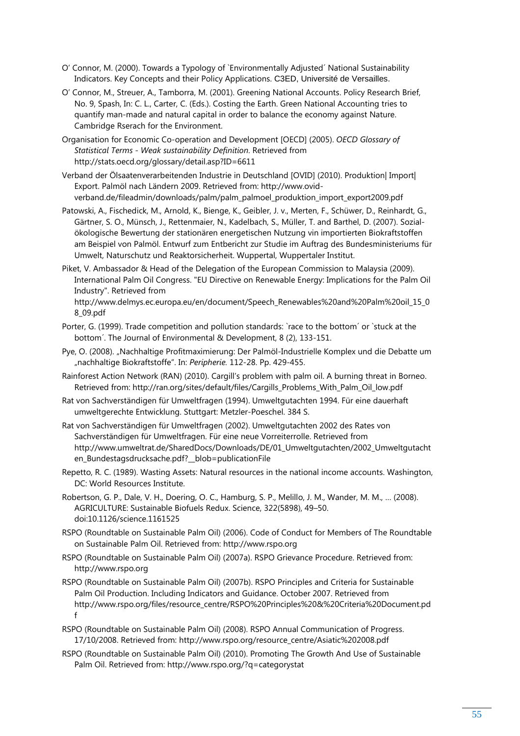- O' Connor, M. (2000). Towards a Typology of `Environmentally Adjusted´ National Sustainability Indicators. Key Concepts and their Policy Applications. C3ED, Université de Versailles.
- O' Connor, M., Streuer, A., Tamborra, M. (2001). Greening National Accounts. Policy Research Brief, No. 9, Spash, In: C. L., Carter, C. (Eds.). Costing the Earth. Green National Accounting tries to quantify man-made and natural capital in order to balance the economy against Nature. Cambridge Rserach for the Environment.
- Organisation for Economic Co-operation and Development [OECD] (2005). *OECD Glossary of Statistical Terms - Weak sustainability Definition*. Retrieved from http://stats.oecd.org/glossary/detail.asp?ID=6611

Verband der Ölsaatenverarbeitenden Industrie in Deutschland [OVID] (2010). Produktion| Import| Export. Palmöl nach Ländern 2009. Retrieved from: http://www.ovidverband.de/fileadmin/downloads/palm/palm\_palmoel\_produktion\_import\_export2009.pdf

Patowski, A., Fischedick, M., Arnold, K., Bienge, K., Geibler, J. v., Merten, F., Schüwer, D., Reinhardt, G., Gärtner, S. O., Münsch, J., Rettenmaier, N., Kadelbach, S., Müller, T. and Barthel, D. (2007). Sozialökologische Bewertung der stationären energetischen Nutzung vin importierten Biokraftstoffen am Beispiel von Palmöl. Entwurf zum Entbericht zur Studie im Auftrag des Bundesministeriums für Umwelt, Naturschutz und Reaktorsicherheit. Wuppertal, Wuppertaler Institut.

Piket, V. Ambassador & Head of the Delegation of the European Commission to Malaysia (2009). International Palm Oil Congress. "EU Directive on Renewable Energy: Implications for the Palm Oil Industry". Retrieved from

http://www.delmys.ec.europa.eu/en/document/Speech\_Renewables%20and%20Palm%20oil\_15\_0 8\_09.pdf

- Porter, G. (1999). Trade competition and pollution standards: `race to the bottom´ or `stuck at the bottom´. The Journal of Environmental & Development, 8 (2), 133-151.
- Pye, O. (2008). "Nachhaltige Profitmaximierung: Der Palmöl-Industrielle Komplex und die Debatte um "nachhaltige Biokraftstoffe". In: *Peripherie.* 112-28. Pp. 429-455.
- Rainforest Action Network (RAN) (2010). Cargill's problem with palm oil. A burning threat in Borneo. Retrieved from: http://ran.org/sites/default/files/Cargills\_Problems\_With\_Palm\_Oil\_low.pdf
- Rat von Sachverständigen für Umweltfragen (1994). Umweltgutachten 1994. Für eine dauerhaft umweltgerechte Entwicklung. Stuttgart: Metzler-Poeschel. 384 S.
- Rat von Sachverständigen für Umweltfragen (2002). Umweltgutachten 2002 des Rates von Sachverständigen für Umweltfragen. Für eine neue Vorreiterrolle. Retrieved from http://www.umweltrat.de/SharedDocs/Downloads/DE/01\_Umweltgutachten/2002\_Umweltgutacht en Bundestagsdrucksache.pdf? blob=publicationFile
- Repetto, R. C. (1989). Wasting Assets: Natural resources in the national income accounts. Washington, DC: World Resources Institute.
- Robertson, G. P., Dale, V. H., Doering, O. C., Hamburg, S. P., Melillo, J. M., Wander, M. M., … (2008). AGRICULTURE: Sustainable Biofuels Redux. Science, 322(5898), 49–50. doi:10.1126/science.1161525
- RSPO (Roundtable on Sustainable Palm Oil) (2006). Code of Conduct for Members of The Roundtable on Sustainable Palm Oil. Retrieved from: http://www.rspo.org
- RSPO (Roundtable on Sustainable Palm Oil) (2007a). RSPO Grievance Procedure. Retrieved from: http://www.rspo.org
- RSPO (Roundtable on Sustainable Palm Oil) (2007b). RSPO Principles and Criteria for Sustainable Palm Oil Production. Including Indicators and Guidance. October 2007. Retrieved from http://www.rspo.org/files/resource\_centre/RSPO%20Principles%20&%20Criteria%20Document.pd f
- RSPO (Roundtable on Sustainable Palm Oil) (2008). RSPO Annual Communication of Progress. 17/10/2008. Retrieved from: http://www.rspo.org/resource\_centre/Asiatic%202008.pdf
- RSPO (Roundtable on Sustainable Palm Oil) (2010). Promoting The Growth And Use of Sustainable Palm Oil. Retrieved from: http://www.rspo.org/?q=categorystat